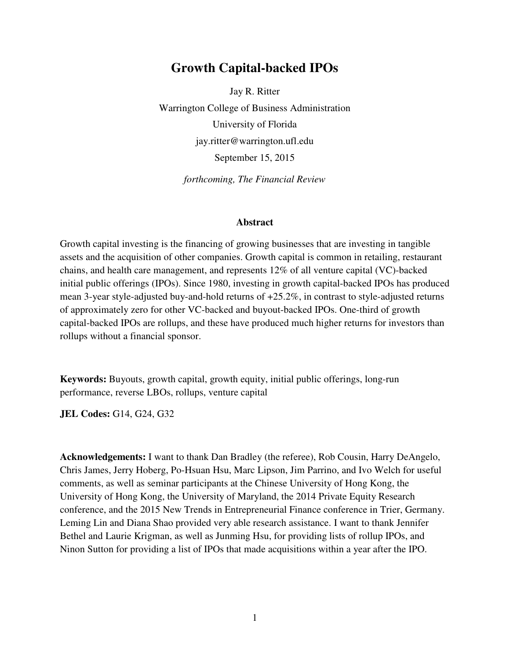# **Growth Capital-backed IPOs**

Jay R. Ritter Warrington College of Business Administration University of Florida jay.ritter@warrington.ufl.edu September 15, 2015

*forthcoming, The Financial Review* 

#### **Abstract**

Growth capital investing is the financing of growing businesses that are investing in tangible assets and the acquisition of other companies. Growth capital is common in retailing, restaurant chains, and health care management, and represents 12% of all venture capital (VC)-backed initial public offerings (IPOs). Since 1980, investing in growth capital-backed IPOs has produced mean 3-year style-adjusted buy-and-hold returns of +25.2%, in contrast to style-adjusted returns of approximately zero for other VC-backed and buyout-backed IPOs. One-third of growth capital-backed IPOs are rollups, and these have produced much higher returns for investors than rollups without a financial sponsor.

**Keywords:** Buyouts, growth capital, growth equity, initial public offerings, long-run performance, reverse LBOs, rollups, venture capital

**JEL Codes:** G14, G24, G32

**Acknowledgements:** I want to thank Dan Bradley (the referee), Rob Cousin, Harry DeAngelo, Chris James, Jerry Hoberg, Po-Hsuan Hsu, Marc Lipson, Jim Parrino, and Ivo Welch for useful comments, as well as seminar participants at the Chinese University of Hong Kong, the University of Hong Kong, the University of Maryland, the 2014 Private Equity Research conference, and the 2015 New Trends in Entrepreneurial Finance conference in Trier, Germany. Leming Lin and Diana Shao provided very able research assistance. I want to thank Jennifer Bethel and Laurie Krigman, as well as Junming Hsu, for providing lists of rollup IPOs, and Ninon Sutton for providing a list of IPOs that made acquisitions within a year after the IPO.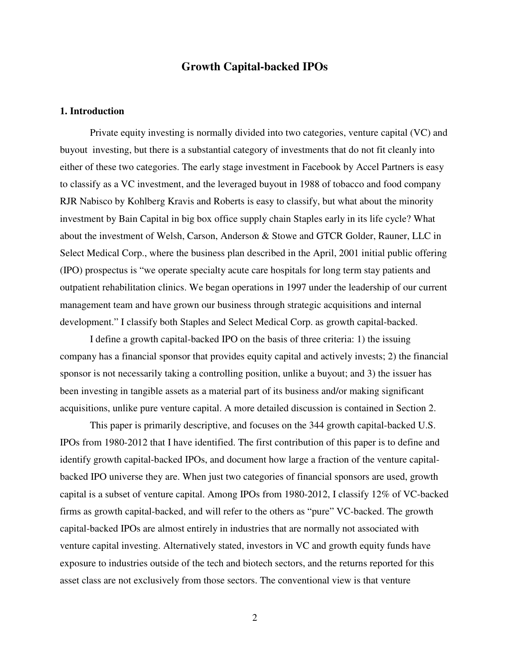## **Growth Capital-backed IPOs**

## **1. Introduction**

 Private equity investing is normally divided into two categories, venture capital (VC) and buyout investing, but there is a substantial category of investments that do not fit cleanly into either of these two categories. The early stage investment in Facebook by Accel Partners is easy to classify as a VC investment, and the leveraged buyout in 1988 of tobacco and food company RJR Nabisco by Kohlberg Kravis and Roberts is easy to classify, but what about the minority investment by Bain Capital in big box office supply chain Staples early in its life cycle? What about the investment of Welsh, Carson, Anderson & Stowe and GTCR Golder, Rauner, LLC in Select Medical Corp., where the business plan described in the April, 2001 initial public offering (IPO) prospectus is "we operate specialty acute care hospitals for long term stay patients and outpatient rehabilitation clinics. We began operations in 1997 under the leadership of our current management team and have grown our business through strategic acquisitions and internal development." I classify both Staples and Select Medical Corp. as growth capital-backed.

 I define a growth capital-backed IPO on the basis of three criteria: 1) the issuing company has a financial sponsor that provides equity capital and actively invests; 2) the financial sponsor is not necessarily taking a controlling position, unlike a buyout; and 3) the issuer has been investing in tangible assets as a material part of its business and/or making significant acquisitions, unlike pure venture capital. A more detailed discussion is contained in Section 2.

 This paper is primarily descriptive, and focuses on the 344 growth capital-backed U.S. IPOs from 1980-2012 that I have identified. The first contribution of this paper is to define and identify growth capital-backed IPOs, and document how large a fraction of the venture capitalbacked IPO universe they are. When just two categories of financial sponsors are used, growth capital is a subset of venture capital. Among IPOs from 1980-2012, I classify 12% of VC-backed firms as growth capital-backed, and will refer to the others as "pure" VC-backed. The growth capital-backed IPOs are almost entirely in industries that are normally not associated with venture capital investing. Alternatively stated, investors in VC and growth equity funds have exposure to industries outside of the tech and biotech sectors, and the returns reported for this asset class are not exclusively from those sectors. The conventional view is that venture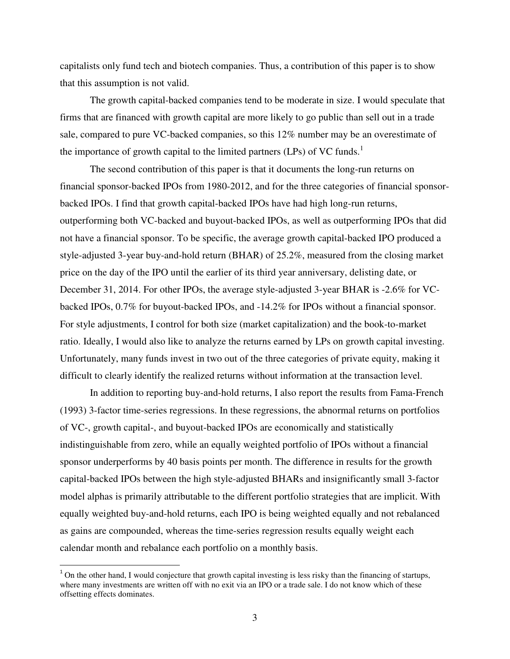capitalists only fund tech and biotech companies. Thus, a contribution of this paper is to show that this assumption is not valid.

 The growth capital-backed companies tend to be moderate in size. I would speculate that firms that are financed with growth capital are more likely to go public than sell out in a trade sale, compared to pure VC-backed companies, so this 12% number may be an overestimate of the importance of growth capital to the limited partners (LPs) of VC funds.<sup>1</sup>

 The second contribution of this paper is that it documents the long-run returns on financial sponsor-backed IPOs from 1980-2012, and for the three categories of financial sponsorbacked IPOs. I find that growth capital-backed IPOs have had high long-run returns, outperforming both VC-backed and buyout-backed IPOs, as well as outperforming IPOs that did not have a financial sponsor. To be specific, the average growth capital-backed IPO produced a style-adjusted 3-year buy-and-hold return (BHAR) of 25.2%, measured from the closing market price on the day of the IPO until the earlier of its third year anniversary, delisting date, or December 31, 2014. For other IPOs, the average style-adjusted 3-year BHAR is -2.6% for VCbacked IPOs, 0.7% for buyout-backed IPOs, and -14.2% for IPOs without a financial sponsor. For style adjustments, I control for both size (market capitalization) and the book-to-market ratio. Ideally, I would also like to analyze the returns earned by LPs on growth capital investing. Unfortunately, many funds invest in two out of the three categories of private equity, making it difficult to clearly identify the realized returns without information at the transaction level.

 In addition to reporting buy-and-hold returns, I also report the results from Fama-French (1993) 3-factor time-series regressions. In these regressions, the abnormal returns on portfolios of VC-, growth capital-, and buyout-backed IPOs are economically and statistically indistinguishable from zero, while an equally weighted portfolio of IPOs without a financial sponsor underperforms by 40 basis points per month. The difference in results for the growth capital-backed IPOs between the high style-adjusted BHARs and insignificantly small 3-factor model alphas is primarily attributable to the different portfolio strategies that are implicit. With equally weighted buy-and-hold returns, each IPO is being weighted equally and not rebalanced as gains are compounded, whereas the time-series regression results equally weight each calendar month and rebalance each portfolio on a monthly basis.

<sup>&</sup>lt;sup>1</sup> On the other hand, I would conjecture that growth capital investing is less risky than the financing of startups, where many investments are written off with no exit via an IPO or a trade sale. I do not know which of these offsetting effects dominates.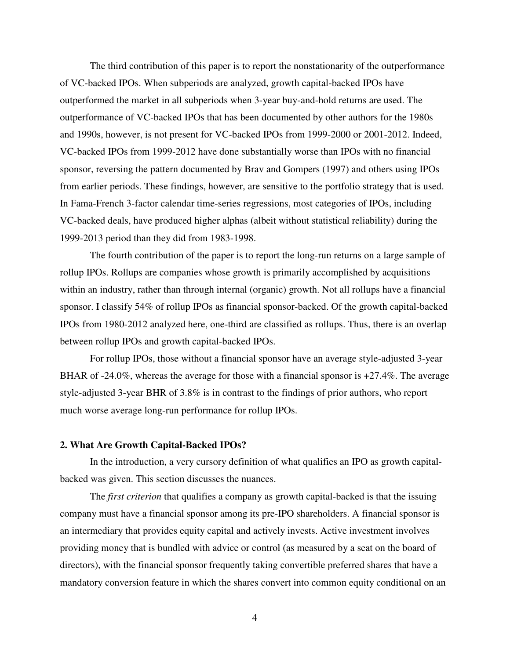The third contribution of this paper is to report the nonstationarity of the outperformance of VC-backed IPOs. When subperiods are analyzed, growth capital-backed IPOs have outperformed the market in all subperiods when 3-year buy-and-hold returns are used. The outperformance of VC-backed IPOs that has been documented by other authors for the 1980s and 1990s, however, is not present for VC-backed IPOs from 1999-2000 or 2001-2012. Indeed, VC-backed IPOs from 1999-2012 have done substantially worse than IPOs with no financial sponsor, reversing the pattern documented by Brav and Gompers (1997) and others using IPOs from earlier periods. These findings, however, are sensitive to the portfolio strategy that is used. In Fama-French 3-factor calendar time-series regressions, most categories of IPOs, including VC-backed deals, have produced higher alphas (albeit without statistical reliability) during the 1999-2013 period than they did from 1983-1998.

 The fourth contribution of the paper is to report the long-run returns on a large sample of rollup IPOs. Rollups are companies whose growth is primarily accomplished by acquisitions within an industry, rather than through internal (organic) growth. Not all rollups have a financial sponsor. I classify 54% of rollup IPOs as financial sponsor-backed. Of the growth capital-backed IPOs from 1980-2012 analyzed here, one-third are classified as rollups. Thus, there is an overlap between rollup IPOs and growth capital-backed IPOs.

 For rollup IPOs, those without a financial sponsor have an average style-adjusted 3-year BHAR of  $-24.0\%$ , whereas the average for those with a financial sponsor is  $+27.4\%$ . The average style-adjusted 3-year BHR of 3.8% is in contrast to the findings of prior authors, who report much worse average long-run performance for rollup IPOs.

### **2. What Are Growth Capital-Backed IPOs?**

 In the introduction, a very cursory definition of what qualifies an IPO as growth capitalbacked was given. This section discusses the nuances.

 The *first criterion* that qualifies a company as growth capital-backed is that the issuing company must have a financial sponsor among its pre-IPO shareholders. A financial sponsor is an intermediary that provides equity capital and actively invests. Active investment involves providing money that is bundled with advice or control (as measured by a seat on the board of directors), with the financial sponsor frequently taking convertible preferred shares that have a mandatory conversion feature in which the shares convert into common equity conditional on an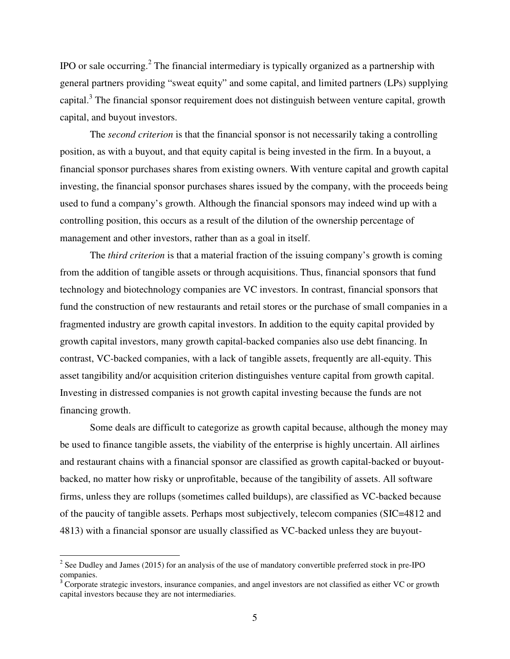IPO or sale occurring.<sup>2</sup> The financial intermediary is typically organized as a partnership with general partners providing "sweat equity" and some capital, and limited partners (LPs) supplying capital.<sup>3</sup> The financial sponsor requirement does not distinguish between venture capital, growth capital, and buyout investors.

 The *second criterion* is that the financial sponsor is not necessarily taking a controlling position, as with a buyout, and that equity capital is being invested in the firm. In a buyout, a financial sponsor purchases shares from existing owners. With venture capital and growth capital investing, the financial sponsor purchases shares issued by the company, with the proceeds being used to fund a company's growth. Although the financial sponsors may indeed wind up with a controlling position, this occurs as a result of the dilution of the ownership percentage of management and other investors, rather than as a goal in itself.

 The *third criterion* is that a material fraction of the issuing company's growth is coming from the addition of tangible assets or through acquisitions. Thus, financial sponsors that fund technology and biotechnology companies are VC investors. In contrast, financial sponsors that fund the construction of new restaurants and retail stores or the purchase of small companies in a fragmented industry are growth capital investors. In addition to the equity capital provided by growth capital investors, many growth capital-backed companies also use debt financing. In contrast, VC-backed companies, with a lack of tangible assets, frequently are all-equity. This asset tangibility and/or acquisition criterion distinguishes venture capital from growth capital. Investing in distressed companies is not growth capital investing because the funds are not financing growth.

 Some deals are difficult to categorize as growth capital because, although the money may be used to finance tangible assets, the viability of the enterprise is highly uncertain. All airlines and restaurant chains with a financial sponsor are classified as growth capital-backed or buyoutbacked, no matter how risky or unprofitable, because of the tangibility of assets. All software firms, unless they are rollups (sometimes called buildups), are classified as VC-backed because of the paucity of tangible assets. Perhaps most subjectively, telecom companies (SIC=4812 and 4813) with a financial sponsor are usually classified as VC-backed unless they are buyout-

l

<sup>&</sup>lt;sup>2</sup> See Dudley and James (2015) for an analysis of the use of mandatory convertible preferred stock in pre-IPO companies.

<sup>&</sup>lt;sup>3</sup> Corporate strategic investors, insurance companies, and angel investors are not classified as either VC or growth capital investors because they are not intermediaries.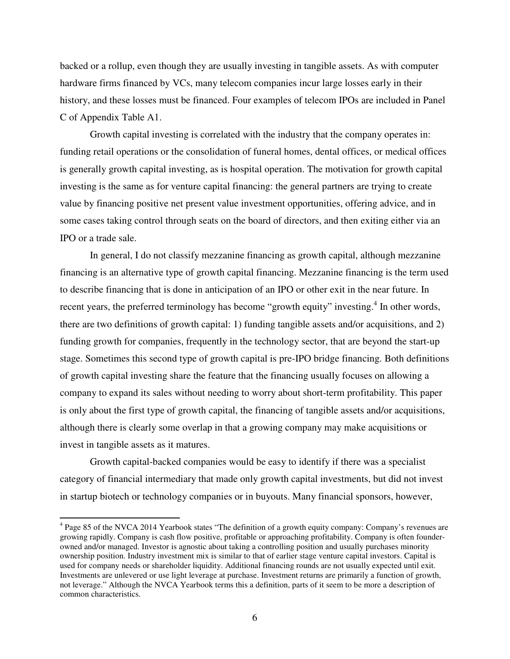backed or a rollup, even though they are usually investing in tangible assets. As with computer hardware firms financed by VCs, many telecom companies incur large losses early in their history, and these losses must be financed. Four examples of telecom IPOs are included in Panel C of Appendix Table A1.

 Growth capital investing is correlated with the industry that the company operates in: funding retail operations or the consolidation of funeral homes, dental offices, or medical offices is generally growth capital investing, as is hospital operation. The motivation for growth capital investing is the same as for venture capital financing: the general partners are trying to create value by financing positive net present value investment opportunities, offering advice, and in some cases taking control through seats on the board of directors, and then exiting either via an IPO or a trade sale.

 In general, I do not classify mezzanine financing as growth capital, although mezzanine financing is an alternative type of growth capital financing. Mezzanine financing is the term used to describe financing that is done in anticipation of an IPO or other exit in the near future. In recent years, the preferred terminology has become "growth equity" investing.<sup>4</sup> In other words, there are two definitions of growth capital: 1) funding tangible assets and/or acquisitions, and 2) funding growth for companies, frequently in the technology sector, that are beyond the start-up stage. Sometimes this second type of growth capital is pre-IPO bridge financing. Both definitions of growth capital investing share the feature that the financing usually focuses on allowing a company to expand its sales without needing to worry about short-term profitability. This paper is only about the first type of growth capital, the financing of tangible assets and/or acquisitions, although there is clearly some overlap in that a growing company may make acquisitions or invest in tangible assets as it matures.

 Growth capital-backed companies would be easy to identify if there was a specialist category of financial intermediary that made only growth capital investments, but did not invest in startup biotech or technology companies or in buyouts. Many financial sponsors, however,

l

<sup>&</sup>lt;sup>4</sup> Page 85 of the NVCA 2014 Yearbook states "The definition of a growth equity company: Company's revenues are growing rapidly. Company is cash flow positive, profitable or approaching profitability. Company is often founderowned and/or managed. Investor is agnostic about taking a controlling position and usually purchases minority ownership position. Industry investment mix is similar to that of earlier stage venture capital investors. Capital is used for company needs or shareholder liquidity. Additional financing rounds are not usually expected until exit. Investments are unlevered or use light leverage at purchase. Investment returns are primarily a function of growth, not leverage." Although the NVCA Yearbook terms this a definition, parts of it seem to be more a description of common characteristics.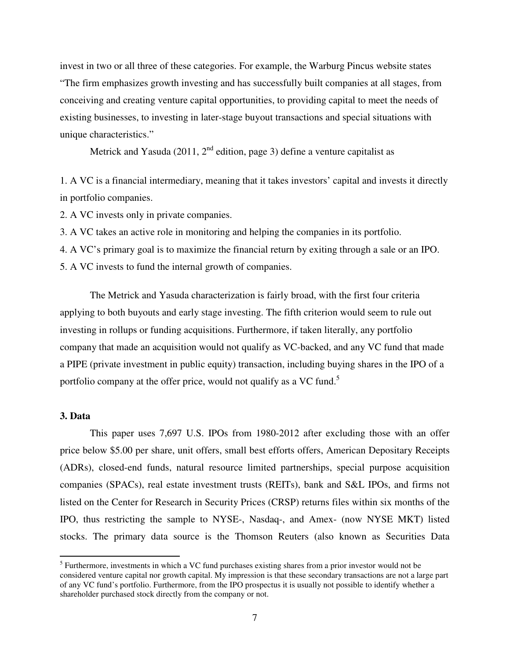invest in two or all three of these categories. For example, the Warburg Pincus website states "The firm emphasizes growth investing and has successfully built companies at all stages, from conceiving and creating venture capital opportunities, to providing capital to meet the needs of existing businesses, to investing in later-stage buyout transactions and special situations with unique characteristics."

Metrick and Yasuda (2011,  $2^{nd}$  edition, page 3) define a venture capitalist as

1. A VC is a financial intermediary, meaning that it takes investors' capital and invests it directly in portfolio companies.

2. A VC invests only in private companies.

3. A VC takes an active role in monitoring and helping the companies in its portfolio.

4. A VC's primary goal is to maximize the financial return by exiting through a sale or an IPO.

5. A VC invests to fund the internal growth of companies.

 The Metrick and Yasuda characterization is fairly broad, with the first four criteria applying to both buyouts and early stage investing. The fifth criterion would seem to rule out investing in rollups or funding acquisitions. Furthermore, if taken literally, any portfolio company that made an acquisition would not qualify as VC-backed, and any VC fund that made a PIPE (private investment in public equity) transaction, including buying shares in the IPO of a portfolio company at the offer price, would not qualify as a VC fund.<sup>5</sup>

#### **3. Data**

l

 This paper uses 7,697 U.S. IPOs from 1980-2012 after excluding those with an offer price below \$5.00 per share, unit offers, small best efforts offers, American Depositary Receipts (ADRs), closed-end funds, natural resource limited partnerships, special purpose acquisition companies (SPACs), real estate investment trusts (REITs), bank and S&L IPOs, and firms not listed on the Center for Research in Security Prices (CRSP) returns files within six months of the IPO, thus restricting the sample to NYSE-, Nasdaq-, and Amex- (now NYSE MKT) listed stocks. The primary data source is the Thomson Reuters (also known as Securities Data

<sup>&</sup>lt;sup>5</sup> Furthermore, investments in which a VC fund purchases existing shares from a prior investor would not be considered venture capital nor growth capital. My impression is that these secondary transactions are not a large part of any VC fund's portfolio. Furthermore, from the IPO prospectus it is usually not possible to identify whether a shareholder purchased stock directly from the company or not.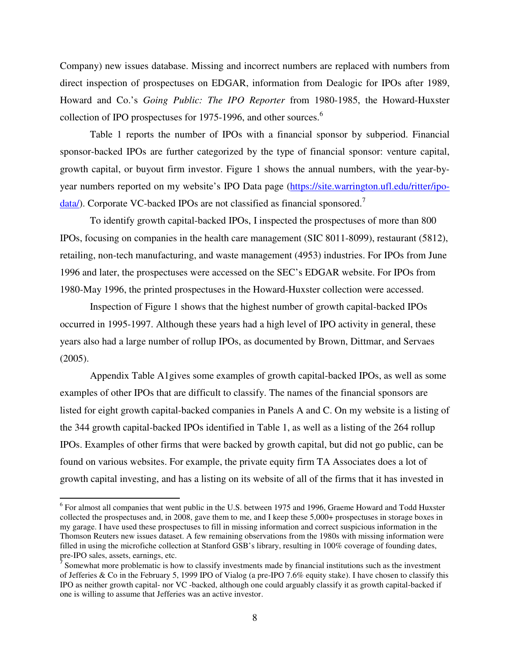Company) new issues database. Missing and incorrect numbers are replaced with numbers from direct inspection of prospectuses on EDGAR, information from Dealogic for IPOs after 1989, Howard and Co.'s *Going Public: The IPO Reporter* from 1980-1985, the Howard-Huxster collection of IPO prospectuses for 1975-1996, and other sources. $<sup>6</sup>$ </sup>

 Table 1 reports the number of IPOs with a financial sponsor by subperiod. Financial sponsor-backed IPOs are further categorized by the type of financial sponsor: venture capital, growth capital, or buyout firm investor. Figure 1 shows the annual numbers, with the year-byyear numbers reported on my website's IPO Data page (https://site.warrington.ufl.edu/ritter/ipo $data$ ). Corporate VC-backed IPOs are not classified as financial sponsored.<sup>7</sup>

 To identify growth capital-backed IPOs, I inspected the prospectuses of more than 800 IPOs, focusing on companies in the health care management (SIC 8011-8099), restaurant (5812), retailing, non-tech manufacturing, and waste management (4953) industries. For IPOs from June 1996 and later, the prospectuses were accessed on the SEC's EDGAR website. For IPOs from 1980-May 1996, the printed prospectuses in the Howard-Huxster collection were accessed.

 Inspection of Figure 1 shows that the highest number of growth capital-backed IPOs occurred in 1995-1997. Although these years had a high level of IPO activity in general, these years also had a large number of rollup IPOs, as documented by Brown, Dittmar, and Servaes (2005).

 Appendix Table A1gives some examples of growth capital-backed IPOs, as well as some examples of other IPOs that are difficult to classify. The names of the financial sponsors are listed for eight growth capital-backed companies in Panels A and C. On my website is a listing of the 344 growth capital-backed IPOs identified in Table 1, as well as a listing of the 264 rollup IPOs. Examples of other firms that were backed by growth capital, but did not go public, can be found on various websites. For example, the private equity firm TA Associates does a lot of growth capital investing, and has a listing on its website of all of the firms that it has invested in

l

<sup>&</sup>lt;sup>6</sup> For almost all companies that went public in the U.S. between 1975 and 1996, Graeme Howard and Todd Huxster collected the prospectuses and, in 2008, gave them to me, and I keep these 5,000+ prospectuses in storage boxes in my garage. I have used these prospectuses to fill in missing information and correct suspicious information in the Thomson Reuters new issues dataset. A few remaining observations from the 1980s with missing information were filled in using the microfiche collection at Stanford GSB's library, resulting in 100% coverage of founding dates, pre-IPO sales, assets, earnings, etc.

 $\bar{7}$  Somewhat more problematic is how to classify investments made by financial institutions such as the investment of Jefferies & Co in the February 5, 1999 IPO of Vialog (a pre-IPO 7.6% equity stake). I have chosen to classify this IPO as neither growth capital- nor VC -backed, although one could arguably classify it as growth capital-backed if one is willing to assume that Jefferies was an active investor.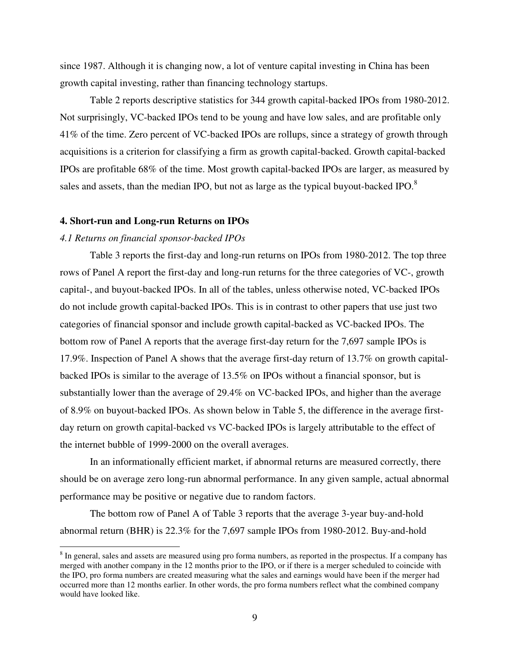since 1987. Although it is changing now, a lot of venture capital investing in China has been growth capital investing, rather than financing technology startups.

 Table 2 reports descriptive statistics for 344 growth capital-backed IPOs from 1980-2012. Not surprisingly, VC-backed IPOs tend to be young and have low sales, and are profitable only 41% of the time. Zero percent of VC-backed IPOs are rollups, since a strategy of growth through acquisitions is a criterion for classifying a firm as growth capital-backed. Growth capital-backed IPOs are profitable 68% of the time. Most growth capital-backed IPOs are larger, as measured by sales and assets, than the median IPO, but not as large as the typical buyout-backed IPO.<sup>8</sup>

#### **4. Short-run and Long-run Returns on IPOs**

#### *4.1 Returns on financial sponsor-backed IPOs*

l

 Table 3 reports the first-day and long-run returns on IPOs from 1980-2012. The top three rows of Panel A report the first-day and long-run returns for the three categories of VC-, growth capital-, and buyout-backed IPOs. In all of the tables, unless otherwise noted, VC-backed IPOs do not include growth capital-backed IPOs. This is in contrast to other papers that use just two categories of financial sponsor and include growth capital-backed as VC-backed IPOs. The bottom row of Panel A reports that the average first-day return for the 7,697 sample IPOs is 17.9%. Inspection of Panel A shows that the average first-day return of 13.7% on growth capitalbacked IPOs is similar to the average of 13.5% on IPOs without a financial sponsor, but is substantially lower than the average of 29.4% on VC-backed IPOs, and higher than the average of 8.9% on buyout-backed IPOs. As shown below in Table 5, the difference in the average firstday return on growth capital-backed vs VC-backed IPOs is largely attributable to the effect of the internet bubble of 1999-2000 on the overall averages.

 In an informationally efficient market, if abnormal returns are measured correctly, there should be on average zero long-run abnormal performance. In any given sample, actual abnormal performance may be positive or negative due to random factors.

 The bottom row of Panel A of Table 3 reports that the average 3-year buy-and-hold abnormal return (BHR) is 22.3% for the 7,697 sample IPOs from 1980-2012. Buy-and-hold

<sup>&</sup>lt;sup>8</sup> In general, sales and assets are measured using pro forma numbers, as reported in the prospectus. If a company has merged with another company in the 12 months prior to the IPO, or if there is a merger scheduled to coincide with the IPO, pro forma numbers are created measuring what the sales and earnings would have been if the merger had occurred more than 12 months earlier. In other words, the pro forma numbers reflect what the combined company would have looked like.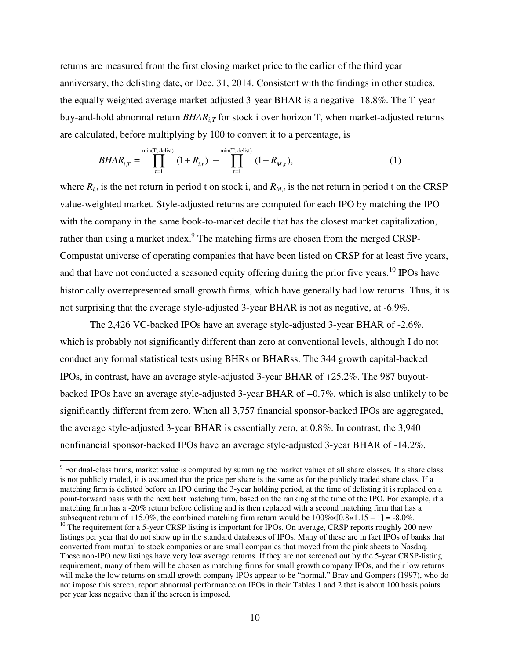returns are measured from the first closing market price to the earlier of the third year anniversary, the delisting date, or Dec. 31, 2014. Consistent with the findings in other studies, the equally weighted average market-adjusted 3-year BHAR is a negative -18.8%. The T-year buy-and-hold abnormal return  $B H AR<sub>i,T</sub>$  for stock i over horizon T, when market-adjusted returns are calculated, before multiplying by 100 to convert it to a percentage, is

$$
BHAR_{i,T} = \prod_{t=1}^{\min(T, \text{ delist})} (1 + R_{i,t}) - \prod_{t=1}^{\min(T, \text{ delist})} (1 + R_{M,t}), \tag{1}
$$

where  $R_{i,t}$  is the net return in period t on stock i, and  $R_{M,t}$  is the net return in period t on the CRSP value-weighted market. Style-adjusted returns are computed for each IPO by matching the IPO with the company in the same book-to-market decile that has the closest market capitalization, rather than using a market index.<sup>9</sup> The matching firms are chosen from the merged CRSP-Compustat universe of operating companies that have been listed on CRSP for at least five years, and that have not conducted a seasoned equity offering during the prior five years.<sup>10</sup> IPOs have historically overrepresented small growth firms, which have generally had low returns. Thus, it is not surprising that the average style-adjusted 3-year BHAR is not as negative, at -6.9%.

 The 2,426 VC-backed IPOs have an average style-adjusted 3-year BHAR of -2.6%, which is probably not significantly different than zero at conventional levels, although I do not conduct any formal statistical tests using BHRs or BHARss. The 344 growth capital-backed IPOs, in contrast, have an average style-adjusted 3-year BHAR of +25.2%. The 987 buyoutbacked IPOs have an average style-adjusted 3-year BHAR of +0.7%, which is also unlikely to be significantly different from zero. When all 3,757 financial sponsor-backed IPOs are aggregated, the average style-adjusted 3-year BHAR is essentially zero, at 0.8%. In contrast, the 3,940 nonfinancial sponsor-backed IPOs have an average style-adjusted 3-year BHAR of -14.2%.

l

 $9^9$  For dual-class firms, market value is computed by summing the market values of all share classes. If a share class is not publicly traded, it is assumed that the price per share is the same as for the publicly traded share class. If a matching firm is delisted before an IPO during the 3-year holding period, at the time of delisting it is replaced on a point-forward basis with the next best matching firm, based on the ranking at the time of the IPO. For example, if a matching firm has a -20% return before delisting and is then replaced with a second matching firm that has a subsequent return of +15.0%, the combined matching firm return would be  $100\% \times [0.8 \times 1.15 - 1] = -8.0\%$ . <sup>10</sup> The requirement for a 5-year CRSP listing is important for IPOs. On average, CRSP reports roughly 200 new listings per year that do not show up in the standard databases of IPOs. Many of these are in fact IPOs of banks that converted from mutual to stock companies or are small companies that moved from the pink sheets to Nasdaq. These non-IPO new listings have very low average returns. If they are not screened out by the 5-year CRSP-listing requirement, many of them will be chosen as matching firms for small growth company IPOs, and their low returns will make the low returns on small growth company IPOs appear to be "normal." Brav and Gompers (1997), who do not impose this screen, report abnormal performance on IPOs in their Tables 1 and 2 that is about 100 basis points per year less negative than if the screen is imposed.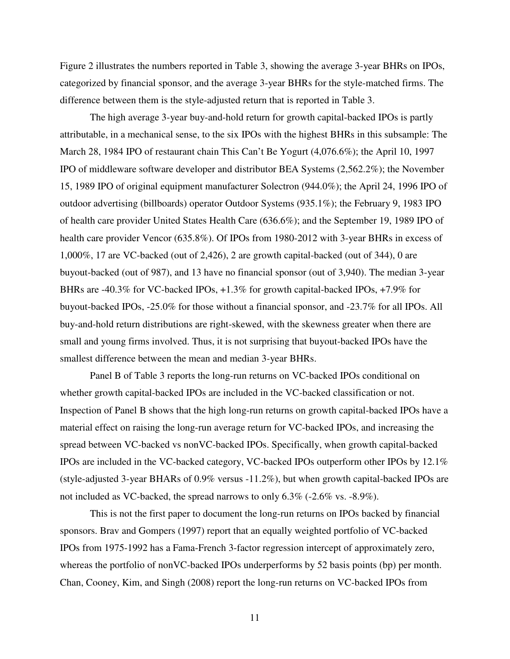Figure 2 illustrates the numbers reported in Table 3, showing the average 3-year BHRs on IPOs, categorized by financial sponsor, and the average 3-year BHRs for the style-matched firms. The difference between them is the style-adjusted return that is reported in Table 3.

 The high average 3-year buy-and-hold return for growth capital-backed IPOs is partly attributable, in a mechanical sense, to the six IPOs with the highest BHRs in this subsample: The March 28, 1984 IPO of restaurant chain This Can't Be Yogurt (4,076.6%); the April 10, 1997 IPO of middleware software developer and distributor BEA Systems (2,562.2%); the November 15, 1989 IPO of original equipment manufacturer Solectron (944.0%); the April 24, 1996 IPO of outdoor advertising (billboards) operator Outdoor Systems (935.1%); the February 9, 1983 IPO of health care provider United States Health Care (636.6%); and the September 19, 1989 IPO of health care provider Vencor (635.8%). Of IPOs from 1980-2012 with 3-year BHRs in excess of 1,000%, 17 are VC-backed (out of 2,426), 2 are growth capital-backed (out of 344), 0 are buyout-backed (out of 987), and 13 have no financial sponsor (out of 3,940). The median 3-year BHRs are -40.3% for VC-backed IPOs, +1.3% for growth capital-backed IPOs, +7.9% for buyout-backed IPOs, -25.0% for those without a financial sponsor, and -23.7% for all IPOs. All buy-and-hold return distributions are right-skewed, with the skewness greater when there are small and young firms involved. Thus, it is not surprising that buyout-backed IPOs have the smallest difference between the mean and median 3-year BHRs.

 Panel B of Table 3 reports the long-run returns on VC-backed IPOs conditional on whether growth capital-backed IPOs are included in the VC-backed classification or not. Inspection of Panel B shows that the high long-run returns on growth capital-backed IPOs have a material effect on raising the long-run average return for VC-backed IPOs, and increasing the spread between VC-backed vs nonVC-backed IPOs. Specifically, when growth capital-backed IPOs are included in the VC-backed category, VC-backed IPOs outperform other IPOs by 12.1% (style-adjusted 3-year BHARs of 0.9% versus -11.2%), but when growth capital-backed IPOs are not included as VC-backed, the spread narrows to only 6.3% (-2.6% vs. -8.9%).

 This is not the first paper to document the long-run returns on IPOs backed by financial sponsors. Brav and Gompers (1997) report that an equally weighted portfolio of VC-backed IPOs from 1975-1992 has a Fama-French 3-factor regression intercept of approximately zero, whereas the portfolio of nonVC-backed IPOs underperforms by 52 basis points (bp) per month. Chan, Cooney, Kim, and Singh (2008) report the long-run returns on VC-backed IPOs from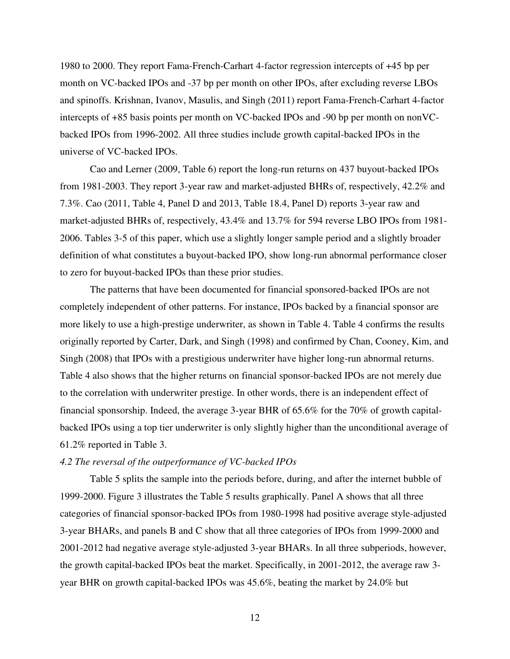1980 to 2000. They report Fama-French-Carhart 4-factor regression intercepts of +45 bp per month on VC-backed IPOs and -37 bp per month on other IPOs, after excluding reverse LBOs and spinoffs. Krishnan, Ivanov, Masulis, and Singh (2011) report Fama-French-Carhart 4-factor intercepts of +85 basis points per month on VC-backed IPOs and -90 bp per month on nonVCbacked IPOs from 1996-2002. All three studies include growth capital-backed IPOs in the universe of VC-backed IPOs.

 Cao and Lerner (2009, Table 6) report the long-run returns on 437 buyout-backed IPOs from 1981-2003. They report 3-year raw and market-adjusted BHRs of, respectively, 42.2% and 7.3%. Cao (2011, Table 4, Panel D and 2013, Table 18.4, Panel D) reports 3-year raw and market-adjusted BHRs of, respectively, 43.4% and 13.7% for 594 reverse LBO IPOs from 1981- 2006. Tables 3-5 of this paper, which use a slightly longer sample period and a slightly broader definition of what constitutes a buyout-backed IPO, show long-run abnormal performance closer to zero for buyout-backed IPOs than these prior studies.

 The patterns that have been documented for financial sponsored-backed IPOs are not completely independent of other patterns. For instance, IPOs backed by a financial sponsor are more likely to use a high-prestige underwriter, as shown in Table 4. Table 4 confirms the results originally reported by Carter, Dark, and Singh (1998) and confirmed by Chan, Cooney, Kim, and Singh (2008) that IPOs with a prestigious underwriter have higher long-run abnormal returns. Table 4 also shows that the higher returns on financial sponsor-backed IPOs are not merely due to the correlation with underwriter prestige. In other words, there is an independent effect of financial sponsorship. Indeed, the average 3-year BHR of 65.6% for the 70% of growth capitalbacked IPOs using a top tier underwriter is only slightly higher than the unconditional average of 61.2% reported in Table 3.

#### *4.2 The reversal of the outperformance of VC-backed IPOs*

 Table 5 splits the sample into the periods before, during, and after the internet bubble of 1999-2000. Figure 3 illustrates the Table 5 results graphically. Panel A shows that all three categories of financial sponsor-backed IPOs from 1980-1998 had positive average style-adjusted 3-year BHARs, and panels B and C show that all three categories of IPOs from 1999-2000 and 2001-2012 had negative average style-adjusted 3-year BHARs. In all three subperiods, however, the growth capital-backed IPOs beat the market. Specifically, in 2001-2012, the average raw 3 year BHR on growth capital-backed IPOs was 45.6%, beating the market by 24.0% but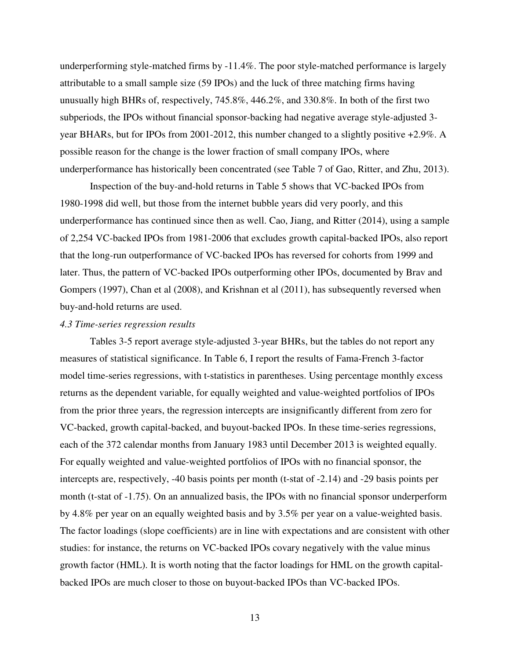underperforming style-matched firms by -11.4%. The poor style-matched performance is largely attributable to a small sample size (59 IPOs) and the luck of three matching firms having unusually high BHRs of, respectively, 745.8%, 446.2%, and 330.8%. In both of the first two subperiods, the IPOs without financial sponsor-backing had negative average style-adjusted 3 year BHARs, but for IPOs from 2001-2012, this number changed to a slightly positive +2.9%. A possible reason for the change is the lower fraction of small company IPOs, where underperformance has historically been concentrated (see Table 7 of Gao, Ritter, and Zhu, 2013).

 Inspection of the buy-and-hold returns in Table 5 shows that VC-backed IPOs from 1980-1998 did well, but those from the internet bubble years did very poorly, and this underperformance has continued since then as well. Cao, Jiang, and Ritter (2014), using a sample of 2,254 VC-backed IPOs from 1981-2006 that excludes growth capital-backed IPOs, also report that the long-run outperformance of VC-backed IPOs has reversed for cohorts from 1999 and later. Thus, the pattern of VC-backed IPOs outperforming other IPOs, documented by Brav and Gompers (1997), Chan et al (2008), and Krishnan et al (2011), has subsequently reversed when buy-and-hold returns are used.

#### *4.3 Time-series regression results*

 Tables 3-5 report average style-adjusted 3-year BHRs, but the tables do not report any measures of statistical significance. In Table 6, I report the results of Fama-French 3-factor model time-series regressions, with t-statistics in parentheses. Using percentage monthly excess returns as the dependent variable, for equally weighted and value-weighted portfolios of IPOs from the prior three years, the regression intercepts are insignificantly different from zero for VC-backed, growth capital-backed, and buyout-backed IPOs. In these time-series regressions, each of the 372 calendar months from January 1983 until December 2013 is weighted equally. For equally weighted and value-weighted portfolios of IPOs with no financial sponsor, the intercepts are, respectively, -40 basis points per month (t-stat of -2.14) and -29 basis points per month (t-stat of -1.75). On an annualized basis, the IPOs with no financial sponsor underperform by 4.8% per year on an equally weighted basis and by 3.5% per year on a value-weighted basis. The factor loadings (slope coefficients) are in line with expectations and are consistent with other studies: for instance, the returns on VC-backed IPOs covary negatively with the value minus growth factor (HML). It is worth noting that the factor loadings for HML on the growth capitalbacked IPOs are much closer to those on buyout-backed IPOs than VC-backed IPOs.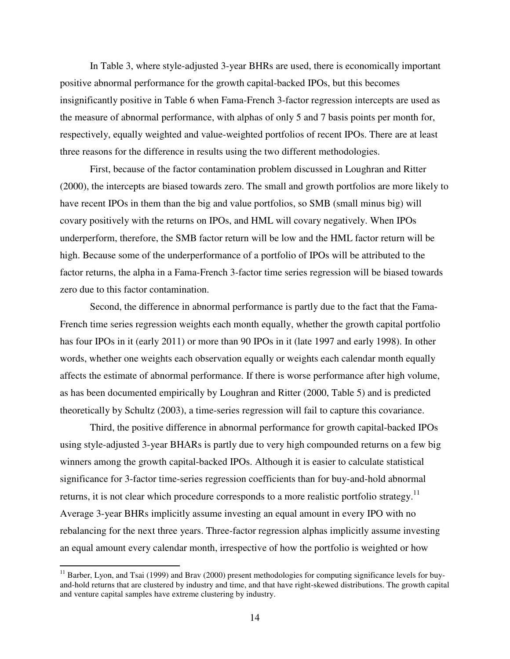In Table 3, where style-adjusted 3-year BHRs are used, there is economically important positive abnormal performance for the growth capital-backed IPOs, but this becomes insignificantly positive in Table 6 when Fama-French 3-factor regression intercepts are used as the measure of abnormal performance, with alphas of only 5 and 7 basis points per month for, respectively, equally weighted and value-weighted portfolios of recent IPOs. There are at least three reasons for the difference in results using the two different methodologies.

 First, because of the factor contamination problem discussed in Loughran and Ritter (2000), the intercepts are biased towards zero. The small and growth portfolios are more likely to have recent IPOs in them than the big and value portfolios, so SMB (small minus big) will covary positively with the returns on IPOs, and HML will covary negatively. When IPOs underperform, therefore, the SMB factor return will be low and the HML factor return will be high. Because some of the underperformance of a portfolio of IPOs will be attributed to the factor returns, the alpha in a Fama-French 3-factor time series regression will be biased towards zero due to this factor contamination.

 Second, the difference in abnormal performance is partly due to the fact that the Fama-French time series regression weights each month equally, whether the growth capital portfolio has four IPOs in it (early 2011) or more than 90 IPOs in it (late 1997 and early 1998). In other words, whether one weights each observation equally or weights each calendar month equally affects the estimate of abnormal performance. If there is worse performance after high volume, as has been documented empirically by Loughran and Ritter (2000, Table 5) and is predicted theoretically by Schultz (2003), a time-series regression will fail to capture this covariance.

 Third, the positive difference in abnormal performance for growth capital-backed IPOs using style-adjusted 3-year BHARs is partly due to very high compounded returns on a few big winners among the growth capital-backed IPOs. Although it is easier to calculate statistical significance for 3-factor time-series regression coefficients than for buy-and-hold abnormal returns, it is not clear which procedure corresponds to a more realistic portfolio strategy.<sup>11</sup> Average 3-year BHRs implicitly assume investing an equal amount in every IPO with no rebalancing for the next three years. Three-factor regression alphas implicitly assume investing an equal amount every calendar month, irrespective of how the portfolio is weighted or how

l

 $11$  Barber, Lyon, and Tsai (1999) and Brav (2000) present methodologies for computing significance levels for buyand-hold returns that are clustered by industry and time, and that have right-skewed distributions. The growth capital and venture capital samples have extreme clustering by industry.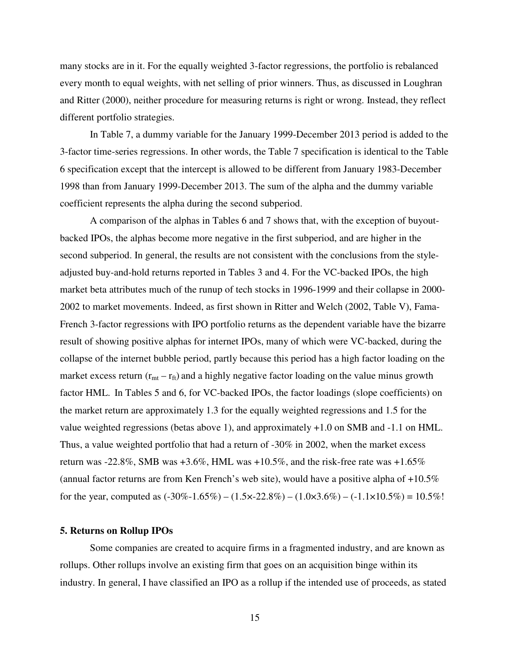many stocks are in it. For the equally weighted 3-factor regressions, the portfolio is rebalanced every month to equal weights, with net selling of prior winners. Thus, as discussed in Loughran and Ritter (2000), neither procedure for measuring returns is right or wrong. Instead, they reflect different portfolio strategies.

 In Table 7, a dummy variable for the January 1999-December 2013 period is added to the 3-factor time-series regressions. In other words, the Table 7 specification is identical to the Table 6 specification except that the intercept is allowed to be different from January 1983-December 1998 than from January 1999-December 2013. The sum of the alpha and the dummy variable coefficient represents the alpha during the second subperiod.

 A comparison of the alphas in Tables 6 and 7 shows that, with the exception of buyoutbacked IPOs, the alphas become more negative in the first subperiod, and are higher in the second subperiod. In general, the results are not consistent with the conclusions from the styleadjusted buy-and-hold returns reported in Tables 3 and 4. For the VC-backed IPOs, the high market beta attributes much of the runup of tech stocks in 1996-1999 and their collapse in 2000- 2002 to market movements. Indeed, as first shown in Ritter and Welch (2002, Table V), Fama-French 3-factor regressions with IPO portfolio returns as the dependent variable have the bizarre result of showing positive alphas for internet IPOs, many of which were VC-backed, during the collapse of the internet bubble period, partly because this period has a high factor loading on the market excess return  $(r_{mt} - r_{ft})$  and a highly negative factor loading on the value minus growth factor HML. In Tables 5 and 6, for VC-backed IPOs, the factor loadings (slope coefficients) on the market return are approximately 1.3 for the equally weighted regressions and 1.5 for the value weighted regressions (betas above 1), and approximately +1.0 on SMB and -1.1 on HML. Thus, a value weighted portfolio that had a return of -30% in 2002, when the market excess return was -22.8%, SMB was +3.6%, HML was +10.5%, and the risk-free rate was +1.65% (annual factor returns are from Ken French's web site), would have a positive alpha of  $+10.5\%$ for the year, computed as  $(-30\% - 1.65\%) - (1.5 \times 22.8\%) - (1.0 \times 3.6\%) - (-1.1 \times 10.5\%) = 10.5\%$ !

#### **5. Returns on Rollup IPOs**

 Some companies are created to acquire firms in a fragmented industry, and are known as rollups. Other rollups involve an existing firm that goes on an acquisition binge within its industry. In general, I have classified an IPO as a rollup if the intended use of proceeds, as stated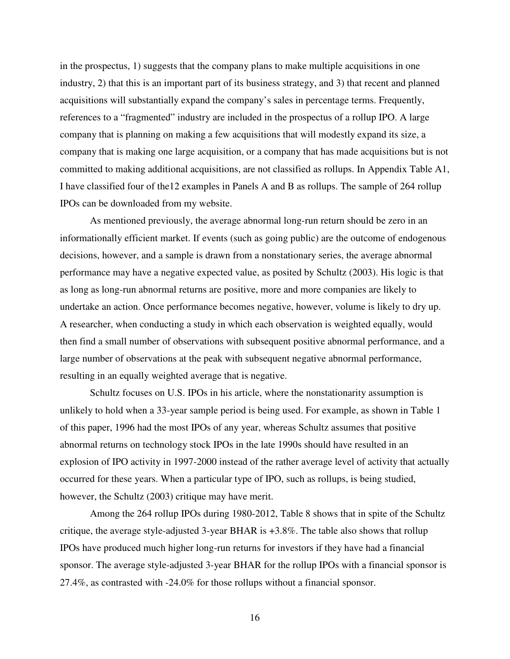in the prospectus, 1) suggests that the company plans to make multiple acquisitions in one industry, 2) that this is an important part of its business strategy, and 3) that recent and planned acquisitions will substantially expand the company's sales in percentage terms. Frequently, references to a "fragmented" industry are included in the prospectus of a rollup IPO. A large company that is planning on making a few acquisitions that will modestly expand its size, a company that is making one large acquisition, or a company that has made acquisitions but is not committed to making additional acquisitions, are not classified as rollups. In Appendix Table A1, I have classified four of the12 examples in Panels A and B as rollups. The sample of 264 rollup IPOs can be downloaded from my website.

 As mentioned previously, the average abnormal long-run return should be zero in an informationally efficient market. If events (such as going public) are the outcome of endogenous decisions, however, and a sample is drawn from a nonstationary series, the average abnormal performance may have a negative expected value, as posited by Schultz (2003). His logic is that as long as long-run abnormal returns are positive, more and more companies are likely to undertake an action. Once performance becomes negative, however, volume is likely to dry up. A researcher, when conducting a study in which each observation is weighted equally, would then find a small number of observations with subsequent positive abnormal performance, and a large number of observations at the peak with subsequent negative abnormal performance, resulting in an equally weighted average that is negative.

 Schultz focuses on U.S. IPOs in his article, where the nonstationarity assumption is unlikely to hold when a 33-year sample period is being used. For example, as shown in Table 1 of this paper, 1996 had the most IPOs of any year, whereas Schultz assumes that positive abnormal returns on technology stock IPOs in the late 1990s should have resulted in an explosion of IPO activity in 1997-2000 instead of the rather average level of activity that actually occurred for these years. When a particular type of IPO, such as rollups, is being studied, however, the Schultz (2003) critique may have merit.

 Among the 264 rollup IPOs during 1980-2012, Table 8 shows that in spite of the Schultz critique, the average style-adjusted 3-year BHAR is +3.8%. The table also shows that rollup IPOs have produced much higher long-run returns for investors if they have had a financial sponsor. The average style-adjusted 3-year BHAR for the rollup IPOs with a financial sponsor is 27.4%, as contrasted with -24.0% for those rollups without a financial sponsor.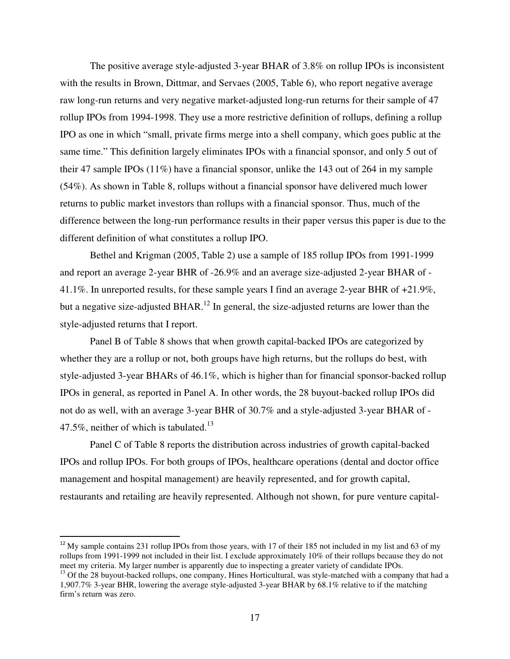The positive average style-adjusted 3-year BHAR of 3.8% on rollup IPOs is inconsistent with the results in Brown, Dittmar, and Servaes (2005, Table 6), who report negative average raw long-run returns and very negative market-adjusted long-run returns for their sample of 47 rollup IPOs from 1994-1998. They use a more restrictive definition of rollups, defining a rollup IPO as one in which "small, private firms merge into a shell company, which goes public at the same time." This definition largely eliminates IPOs with a financial sponsor, and only 5 out of their 47 sample IPOs (11%) have a financial sponsor, unlike the 143 out of 264 in my sample (54%). As shown in Table 8, rollups without a financial sponsor have delivered much lower returns to public market investors than rollups with a financial sponsor. Thus, much of the difference between the long-run performance results in their paper versus this paper is due to the different definition of what constitutes a rollup IPO.

 Bethel and Krigman (2005, Table 2) use a sample of 185 rollup IPOs from 1991-1999 and report an average 2-year BHR of -26.9% and an average size-adjusted 2-year BHAR of - 41.1%. In unreported results, for these sample years I find an average 2-year BHR of +21.9%, but a negative size-adjusted BHAR.<sup>12</sup> In general, the size-adjusted returns are lower than the style-adjusted returns that I report.

 Panel B of Table 8 shows that when growth capital-backed IPOs are categorized by whether they are a rollup or not, both groups have high returns, but the rollups do best, with style-adjusted 3-year BHARs of 46.1%, which is higher than for financial sponsor-backed rollup IPOs in general, as reported in Panel A. In other words, the 28 buyout-backed rollup IPOs did not do as well, with an average 3-year BHR of 30.7% and a style-adjusted 3-year BHAR of - 47.5%, neither of which is tabulated.<sup>13</sup>

 Panel C of Table 8 reports the distribution across industries of growth capital-backed IPOs and rollup IPOs. For both groups of IPOs, healthcare operations (dental and doctor office management and hospital management) are heavily represented, and for growth capital, restaurants and retailing are heavily represented. Although not shown, for pure venture capital-

l

 $12$  My sample contains 231 rollup IPOs from those years, with 17 of their 185 not included in my list and 63 of my rollups from 1991-1999 not included in their list. I exclude approximately 10% of their rollups because they do not meet my criteria. My larger number is apparently due to inspecting a greater variety of candidate IPOs.

 $<sup>13</sup>$  Of the 28 buyout-backed rollups, one company, Hines Horticultural, was style-matched with a company that had a</sup> 1,907.7% 3-year BHR, lowering the average style-adjusted 3-year BHAR by 68.1% relative to if the matching firm's return was zero.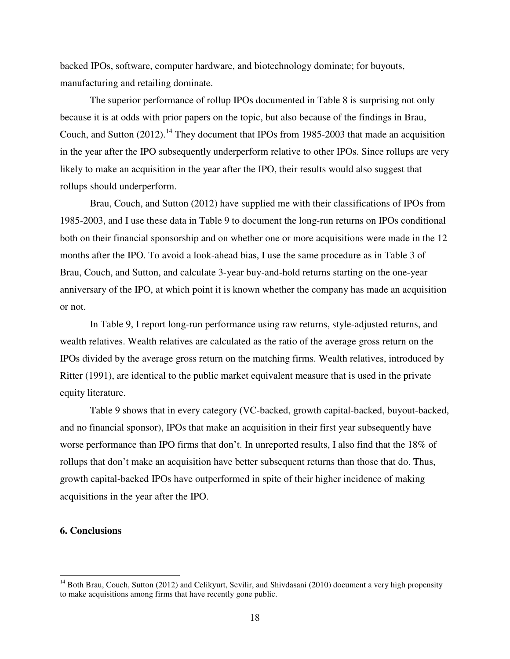backed IPOs, software, computer hardware, and biotechnology dominate; for buyouts, manufacturing and retailing dominate.

The superior performance of rollup IPOs documented in Table 8 is surprising not only because it is at odds with prior papers on the topic, but also because of the findings in Brau, Couch, and Sutton  $(2012)$ .<sup>14</sup> They document that IPOs from 1985-2003 that made an acquisition in the year after the IPO subsequently underperform relative to other IPOs. Since rollups are very likely to make an acquisition in the year after the IPO, their results would also suggest that rollups should underperform.

 Brau, Couch, and Sutton (2012) have supplied me with their classifications of IPOs from 1985-2003, and I use these data in Table 9 to document the long-run returns on IPOs conditional both on their financial sponsorship and on whether one or more acquisitions were made in the 12 months after the IPO. To avoid a look-ahead bias, I use the same procedure as in Table 3 of Brau, Couch, and Sutton, and calculate 3-year buy-and-hold returns starting on the one-year anniversary of the IPO, at which point it is known whether the company has made an acquisition or not.

 In Table 9, I report long-run performance using raw returns, style-adjusted returns, and wealth relatives. Wealth relatives are calculated as the ratio of the average gross return on the IPOs divided by the average gross return on the matching firms. Wealth relatives, introduced by Ritter (1991), are identical to the public market equivalent measure that is used in the private equity literature.

 Table 9 shows that in every category (VC-backed, growth capital-backed, buyout-backed, and no financial sponsor), IPOs that make an acquisition in their first year subsequently have worse performance than IPO firms that don't. In unreported results, I also find that the 18% of rollups that don't make an acquisition have better subsequent returns than those that do. Thus, growth capital-backed IPOs have outperformed in spite of their higher incidence of making acquisitions in the year after the IPO.

## **6. Conclusions**

l

<sup>&</sup>lt;sup>14</sup> Both Brau, Couch, Sutton (2012) and Celikyurt, Sevilir, and Shivdasani (2010) document a very high propensity to make acquisitions among firms that have recently gone public.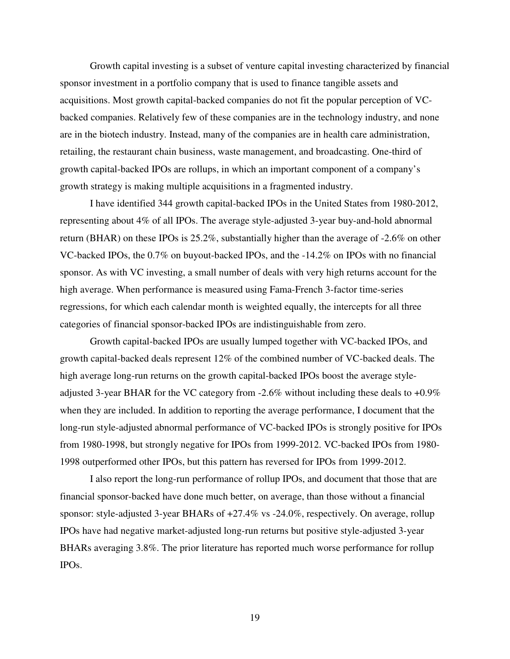Growth capital investing is a subset of venture capital investing characterized by financial sponsor investment in a portfolio company that is used to finance tangible assets and acquisitions. Most growth capital-backed companies do not fit the popular perception of VCbacked companies. Relatively few of these companies are in the technology industry, and none are in the biotech industry. Instead, many of the companies are in health care administration, retailing, the restaurant chain business, waste management, and broadcasting. One-third of growth capital-backed IPOs are rollups, in which an important component of a company's growth strategy is making multiple acquisitions in a fragmented industry.

 I have identified 344 growth capital-backed IPOs in the United States from 1980-2012, representing about 4% of all IPOs. The average style-adjusted 3-year buy-and-hold abnormal return (BHAR) on these IPOs is 25.2%, substantially higher than the average of -2.6% on other VC-backed IPOs, the 0.7% on buyout-backed IPOs, and the -14.2% on IPOs with no financial sponsor. As with VC investing, a small number of deals with very high returns account for the high average. When performance is measured using Fama-French 3-factor time-series regressions, for which each calendar month is weighted equally, the intercepts for all three categories of financial sponsor-backed IPOs are indistinguishable from zero.

 Growth capital-backed IPOs are usually lumped together with VC-backed IPOs, and growth capital-backed deals represent 12% of the combined number of VC-backed deals. The high average long-run returns on the growth capital-backed IPOs boost the average styleadjusted 3-year BHAR for the VC category from -2.6% without including these deals to +0.9% when they are included. In addition to reporting the average performance, I document that the long-run style-adjusted abnormal performance of VC-backed IPOs is strongly positive for IPOs from 1980-1998, but strongly negative for IPOs from 1999-2012. VC-backed IPOs from 1980- 1998 outperformed other IPOs, but this pattern has reversed for IPOs from 1999-2012.

 I also report the long-run performance of rollup IPOs, and document that those that are financial sponsor-backed have done much better, on average, than those without a financial sponsor: style-adjusted 3-year BHARs of +27.4% vs -24.0%, respectively. On average, rollup IPOs have had negative market-adjusted long-run returns but positive style-adjusted 3-year BHARs averaging 3.8%. The prior literature has reported much worse performance for rollup IPOs.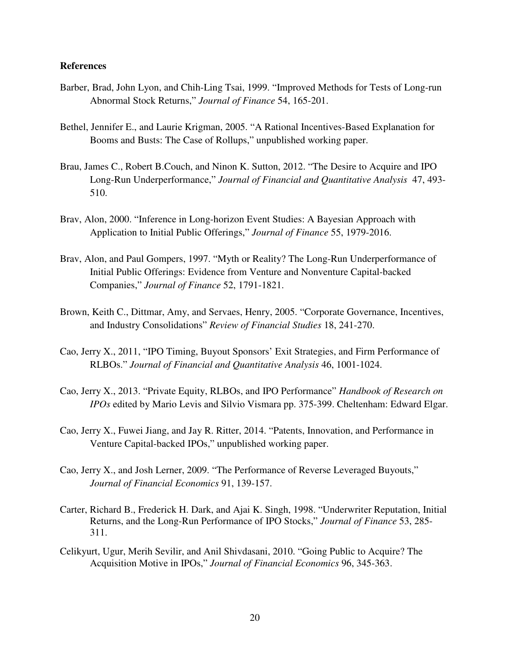#### **References**

- Barber, Brad, John Lyon, and Chih-Ling Tsai, 1999. "Improved Methods for Tests of Long-run Abnormal Stock Returns," *Journal of Finance* 54, 165-201.
- Bethel, Jennifer E., and Laurie Krigman, 2005. "A Rational Incentives-Based Explanation for Booms and Busts: The Case of Rollups," unpublished working paper.
- Brau, James C., Robert B.Couch, and Ninon K. Sutton, 2012. "The Desire to Acquire and IPO Long-Run Underperformance," *Journal of Financial and Quantitative Analysis* 47, 493- 510.
- Brav, Alon, 2000. "Inference in Long-horizon Event Studies: A Bayesian Approach with Application to Initial Public Offerings," *Journal of Finance* 55, 1979-2016.
- Brav, Alon, and Paul Gompers, 1997. "Myth or Reality? The Long-Run Underperformance of Initial Public Offerings: Evidence from Venture and Nonventure Capital-backed Companies," *Journal of Finance* 52, 1791-1821.
- Brown, Keith C., Dittmar, Amy, and Servaes, Henry, 2005. "Corporate Governance, Incentives, and Industry Consolidations" *Review of Financial Studies* 18, 241-270.
- Cao, Jerry X., 2011, "IPO Timing, Buyout Sponsors' Exit Strategies, and Firm Performance of RLBOs." *Journal of Financial and Quantitative Analysis* 46, 1001-1024.
- Cao, Jerry X., 2013. "Private Equity, RLBOs, and IPO Performance" *Handbook of Research on IPOs* edited by Mario Levis and Silvio Vismara pp. 375-399. Cheltenham: Edward Elgar.
- Cao, Jerry X., Fuwei Jiang, and Jay R. Ritter, 2014. "Patents, Innovation, and Performance in Venture Capital-backed IPOs," unpublished working paper.
- Cao, Jerry X., and Josh Lerner, 2009. "The Performance of Reverse Leveraged Buyouts," *Journal of Financial Economics* 91, 139-157.
- Carter, Richard B., Frederick H. Dark, and Ajai K. Singh, 1998. "Underwriter Reputation, Initial Returns, and the Long-Run Performance of IPO Stocks," *Journal of Finance* 53, 285- 311.
- Celikyurt, Ugur, Merih Sevilir, and Anil Shivdasani, 2010. "Going Public to Acquire? The Acquisition Motive in IPOs," *Journal of Financial Economics* 96, 345-363.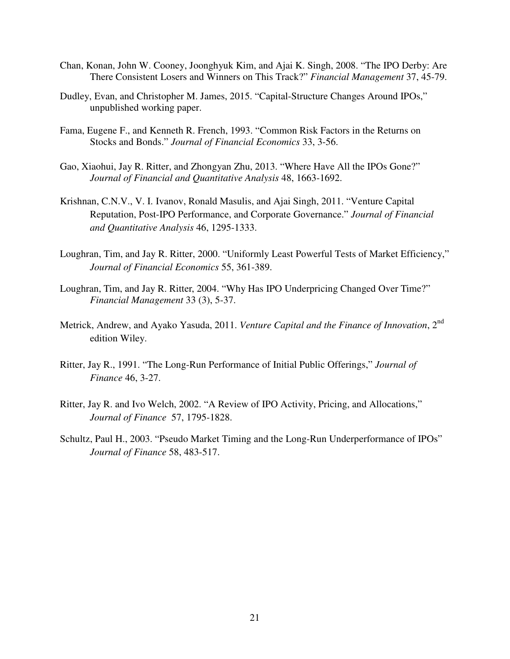- Chan, Konan, John W. Cooney, Joonghyuk Kim, and Ajai K. Singh, 2008. "The IPO Derby: Are There Consistent Losers and Winners on This Track?" *Financial Management* 37, 45-79.
- Dudley, Evan, and Christopher M. James, 2015. "Capital-Structure Changes Around IPOs," unpublished working paper.
- Fama, Eugene F., and Kenneth R. French, 1993. "Common Risk Factors in the Returns on Stocks and Bonds." *Journal of Financial Economics* 33, 3-56.
- Gao, Xiaohui, Jay R. Ritter, and Zhongyan Zhu, 2013. "Where Have All the IPOs Gone?" *Journal of Financial and Quantitative Analysis* 48, 1663-1692.
- Krishnan, C.N.V., V. I. Ivanov, Ronald Masulis, and Ajai Singh, 2011. "Venture Capital Reputation, Post-IPO Performance, and Corporate Governance." *Journal of Financial and Quantitative Analysis* 46, 1295-1333.
- Loughran, Tim, and Jay R. Ritter, 2000. "Uniformly Least Powerful Tests of Market Efficiency," *Journal of Financial Economics* 55, 361-389.
- Loughran, Tim, and Jay R. Ritter, 2004. "Why Has IPO Underpricing Changed Over Time?" *Financial Management* 33 (3), 5-37.
- Metrick, Andrew, and Ayako Yasuda, 2011. *Venture Capital and the Finance of Innovation*, 2nd edition Wiley.
- Ritter, Jay R., 1991. "The Long-Run Performance of Initial Public Offerings," *Journal of Finance* 46, 3-27.
- Ritter, Jay R. and Ivo Welch, 2002. "A Review of IPO Activity, Pricing, and Allocations," *Journal of Finance* 57, 1795-1828.
- Schultz, Paul H., 2003. "Pseudo Market Timing and the Long-Run Underperformance of IPOs" *Journal of Finance* 58, 483-517.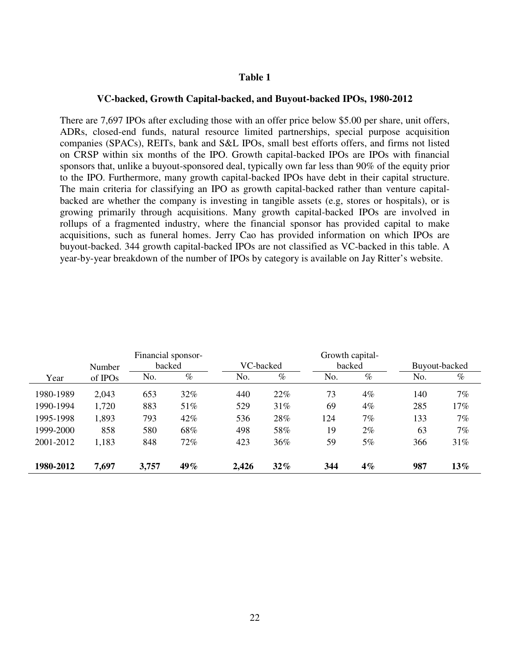#### **VC-backed, Growth Capital-backed, and Buyout-backed IPOs, 1980-2012**

There are 7,697 IPOs after excluding those with an offer price below \$5.00 per share, unit offers, ADRs, closed-end funds, natural resource limited partnerships, special purpose acquisition companies (SPACs), REITs, bank and S&L IPOs, small best efforts offers, and firms not listed on CRSP within six months of the IPO. Growth capital-backed IPOs are IPOs with financial sponsors that, unlike a buyout-sponsored deal, typically own far less than 90% of the equity prior to the IPO. Furthermore, many growth capital-backed IPOs have debt in their capital structure. The main criteria for classifying an IPO as growth capital-backed rather than venture capitalbacked are whether the company is investing in tangible assets (e.g, stores or hospitals), or is growing primarily through acquisitions. Many growth capital-backed IPOs are involved in rollups of a fragmented industry, where the financial sponsor has provided capital to make acquisitions, such as funeral homes. Jerry Cao has provided information on which IPOs are buyout-backed. 344 growth capital-backed IPOs are not classified as VC-backed in this table. A year-by-year breakdown of the number of IPOs by category is available on Jay Ritter's website.

|           |         | Financial sponsor- |        |           |        |     | Growth capital- |     |               |
|-----------|---------|--------------------|--------|-----------|--------|-----|-----------------|-----|---------------|
|           | Number  | backed             |        | VC-backed |        |     | backed          |     | Buyout-backed |
| Year      | of IPOs | No.                | $\%$   | No.       | $\%$   | No. | $\%$            | No. | $\%$          |
| 1980-1989 | 2,043   | 653                | $32\%$ | 440       | 22%    | 73  | 4%              | 140 | 7%            |
| 1990-1994 | 1,720   | 883                | 51%    | 529       | 31%    | 69  | 4%              | 285 | 17%           |
| 1995-1998 | 1,893   | 793                | 42%    | 536       | 28%    | 124 | 7%              | 133 | 7%            |
| 1999-2000 | 858     | 580                | 68%    | 498       | 58%    | 19  | 2%              | 63  | 7%            |
| 2001-2012 | 1,183   | 848                | 72%    | 423       | 36%    | 59  | 5%              | 366 | 31%           |
| 1980-2012 | 7,697   | 3,757              | 49%    | 2,426     | $32\%$ | 344 | $4\%$           | 987 | 13%           |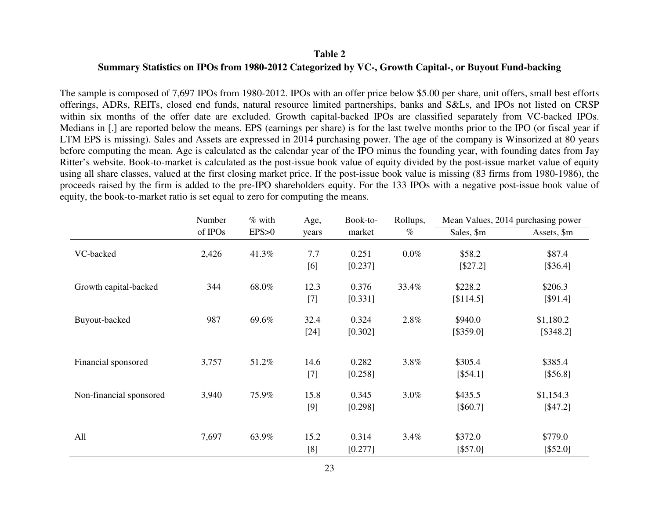### **Summary Statistics on IPOs from 1980-2012 Categorized by VC-, Growth Capital-, or Buyout Fund-backing**

The sample is composed of 7,697 IPOs from 1980-2012. IPOs with an offer price below \$5.00 per share, unit offers, small best efforts offerings, ADRs, REITs, closed end funds, natural resource limited partnerships, banks and S&Ls, and IPOs not listed on CRSP within six months of the offer date are excluded. Growth capital-backed IPOs are classified separately from VC-backed IPOs. Medians in [.] are reported below the means. EPS (earnings per share) is for the last twelve months prior to the IPO (or fiscal year if LTM EPS is missing). Sales and Assets are expressed in 2014 purchasing power. The age of the company is Winsorized at 80 years before computing the mean. Age is calculated as the calendar year of the IPO minus the founding year, with founding dates from Jay Ritter's website. Book-to-market is calculated as the post-issue book value of equity divided by the post-issue market value of equity using all share classes, valued at the first closing market price. If the post-issue book value is missing (83 firms from 1980-1986), the proceeds raised by the firm is added to the pre-IPO shareholders equity. For the 133 IPOs with a negative post-issue book value of equity, the book-to-market ratio is set equal to zero for computing the means.

|                         | Number  | $%$ with | Age,   | Book-to- | Rollups, |            | Mean Values, 2014 purchasing power |
|-------------------------|---------|----------|--------|----------|----------|------------|------------------------------------|
|                         | of IPOs | EPS>0    | years  | market   | $\%$     | Sales, \$m | Assets, \$m                        |
| VC-backed               | 2,426   | 41.3%    | 7.7    | 0.251    | $0.0\%$  | \$58.2     | \$87.4                             |
|                         |         |          | [6]    | [0.237]  |          | [\$27.2]   | [\$36.4]                           |
| Growth capital-backed   | 344     | 68.0%    | 12.3   | 0.376    | 33.4%    | \$228.2    | \$206.3                            |
|                         |         |          | $[7]$  | [0.331]  |          | [\$114.5]  | [\$91.4]                           |
| Buyout-backed           | 987     | 69.6%    | 32.4   | 0.324    | 2.8%     | \$940.0    | \$1,180.2                          |
|                         |         |          | $[24]$ | [0.302]  |          | [\$359.0]  | [\$348.2]                          |
|                         |         |          |        |          |          |            |                                    |
| Financial sponsored     | 3,757   | 51.2%    | 14.6   | 0.282    | 3.8%     | \$305.4    | \$385.4                            |
|                         |         |          | $[7]$  | [0.258]  |          | [\$54.1]   | [\$56.8]                           |
| Non-financial sponsored | 3,940   | 75.9%    | 15.8   | 0.345    | 3.0%     | \$435.5    | \$1,154.3                          |
|                         |         |          | [9]    | [0.298]  |          | [\$60.7]   | [\$47.2]                           |
|                         |         |          |        |          |          |            |                                    |
| All                     | 7,697   | 63.9%    | 15.2   | 0.314    | $3.4\%$  | \$372.0    | \$779.0                            |
|                         |         |          | [8]    | [0.277]  |          | [\$57.0]   | [\$52.0]                           |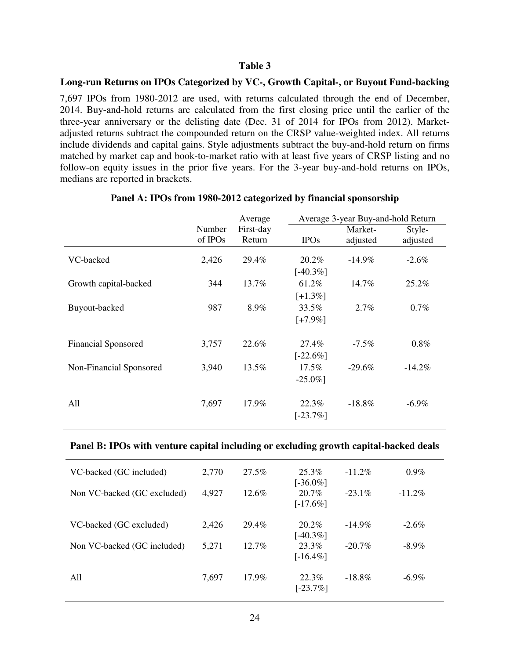## **Long-run Returns on IPOs Categorized by VC-, Growth Capital-, or Buyout Fund-backing**

7,697 IPOs from 1980-2012 are used, with returns calculated through the end of December, 2014. Buy-and-hold returns are calculated from the first closing price until the earlier of the three-year anniversary or the delisting date (Dec. 31 of 2014 for IPOs from 2012). Marketadjusted returns subtract the compounded return on the CRSP value-weighted index. All returns include dividends and capital gains. Style adjustments subtract the buy-and-hold return on firms matched by market cap and book-to-market ratio with at least five years of CRSP listing and no follow-on equity issues in the prior five years. For the 3-year buy-and-hold returns on IPOs, medians are reported in brackets.

|                            |         | Average   | Average 3-year Buy-and-hold Return |           |           |  |  |
|----------------------------|---------|-----------|------------------------------------|-----------|-----------|--|--|
|                            | Number  | First-day |                                    | Market-   | Style-    |  |  |
|                            | of IPOs | Return    | <b>IPOs</b>                        | adjusted  | adjusted  |  |  |
| VC-backed                  | 2,426   | 29.4%     | 20.2%                              | $-14.9%$  | $-2.6\%$  |  |  |
|                            |         |           | $[-40.3\%]$                        |           |           |  |  |
| Growth capital-backed      | 344     | 13.7%     | 61.2%                              | 14.7%     | 25.2%     |  |  |
|                            |         |           | $[-1.3\%]$                         |           |           |  |  |
| Buyout-backed              | 987     | 8.9%      | 33.5%                              | 2.7%      | 0.7%      |  |  |
|                            |         |           | $[-7.9\%]$                         |           |           |  |  |
| <b>Financial Sponsored</b> | 3,757   | 22.6%     | 27.4%                              | $-7.5\%$  | 0.8%      |  |  |
|                            |         |           | $[-22.6\%]$                        |           |           |  |  |
| Non-Financial Sponsored    | 3,940   | 13.5%     | 17.5%                              | $-29.6\%$ | $-14.2\%$ |  |  |
|                            |         |           | $-25.0\%$ ]                        |           |           |  |  |
|                            |         |           |                                    |           |           |  |  |
| All                        | 7,697   | 17.9%     | 22.3%                              | $-18.8\%$ | $-6.9\%$  |  |  |
|                            |         |           | $[-23.7\%]$                        |           |           |  |  |
|                            |         |           |                                    |           |           |  |  |

### **Panel A: IPOs from 1980-2012 categorized by financial sponsorship**

### **Panel B: IPOs with venture capital including or excluding growth capital-backed deals**

| 2,770 | 27.5%    | 25.3%                | $-11.2\%$               | $0.9\%$   |
|-------|----------|----------------------|-------------------------|-----------|
| 4,927 | $12.6\%$ | 20.7%<br>$[-17.6\%]$ | $-23.1\%$               | $-11.2\%$ |
| 2,426 | 29.4%    | $20.2\%$             | $-14.9\%$               | $-2.6\%$  |
| 5,271 | $12.7\%$ | 23.3%<br>$[-16.4\%]$ | $-20.7\%$               | $-8.9\%$  |
| 7,697 | $17.9\%$ | 22.3%<br>$[-23.7\%]$ | $-18.8\%$               | $-6.9\%$  |
|       |          |                      | $[-36.0\%]$<br>[-40.3%] |           |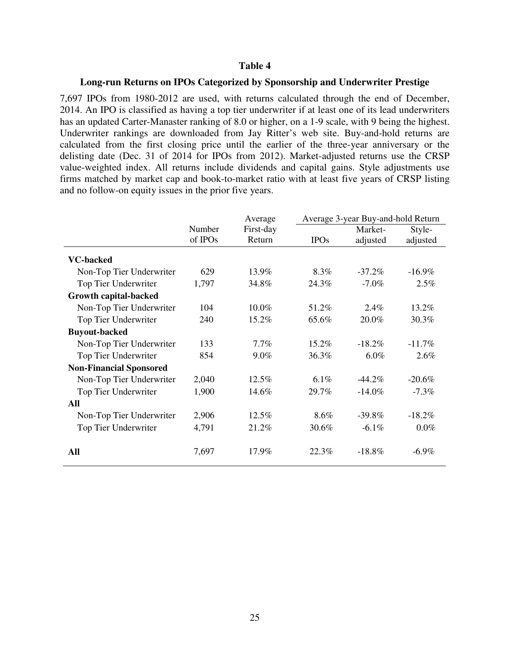#### **Long-run Returns on IPOs Categorized by Sponsorship and Underwriter Prestige**

7,697 IPOs from 1980-2012 are used, with returns calculated through the end of December, 2014. An IPO is classified as having a top tier underwriter if at least one of its lead underwriters has an updated Carter-Manaster ranking of 8.0 or higher, on a 1-9 scale, with 9 being the highest. Underwriter rankings are downloaded from Jay Ritter's web site. Buy-and-hold returns are calculated from the first closing price until the earlier of the three-year anniversary or the delisting date (Dec. 31 of 2014 for IPOs from 2012). Market-adjusted returns use the CRSP value-weighted index. All returns include dividends and capital gains. Style adjustments use firms matched by market cap and book-to-market ratio with at least five years of CRSP listing and no follow-on equity issues in the prior five years.

|                                |         | Average   |             | Average 3-year Buy-and-hold Return |           |  |  |
|--------------------------------|---------|-----------|-------------|------------------------------------|-----------|--|--|
|                                | Number  | First-day |             | Market-                            | Style-    |  |  |
|                                | of IPOs | Return    | <b>IPOs</b> | adjusted                           | adjusted  |  |  |
| <b>VC-backed</b>               |         |           |             |                                    |           |  |  |
| Non-Top Tier Underwriter       | 629     | 13.9%     | 8.3%        | $-37.2\%$                          | $-16.9\%$ |  |  |
| Top Tier Underwriter           | 1,797   | 34.8%     | 24.3%       | $-7.0\%$                           | 2.5%      |  |  |
| <b>Growth capital-backed</b>   |         |           |             |                                    |           |  |  |
| Non-Top Tier Underwriter       | 104     | 10.0%     | 51.2%       | $2.4\%$                            | 13.2%     |  |  |
| Top Tier Underwriter           | 240     | 15.2%     | 65.6%       | 20.0%                              | 30.3%     |  |  |
| <b>Buyout-backed</b>           |         |           |             |                                    |           |  |  |
| Non-Top Tier Underwriter       | 133     | 7.7%      | 15.2%       | $-18.2\%$                          | $-11.7\%$ |  |  |
| Top Tier Underwriter           | 854     | $9.0\%$   | 36.3%       | $6.0\%$                            | 2.6%      |  |  |
| <b>Non-Financial Sponsored</b> |         |           |             |                                    |           |  |  |
| Non-Top Tier Underwriter       | 2,040   | 12.5%     | 6.1%        | $-44.2\%$                          | $-20.6\%$ |  |  |
| Top Tier Underwriter           | 1,900   | 14.6%     | 29.7%       | $-14.0%$                           | $-7.3\%$  |  |  |
| All                            |         |           |             |                                    |           |  |  |
| Non-Top Tier Underwriter       | 2,906   | 12.5%     | 8.6%        | $-39.8\%$                          | $-18.2\%$ |  |  |
| Top Tier Underwriter           | 4,791   | 21.2%     | 30.6%       | $-6.1\%$                           | $0.0\%$   |  |  |
| All                            | 7,697   | 17.9%     | 22.3%       | $-18.8%$                           | $-6.9\%$  |  |  |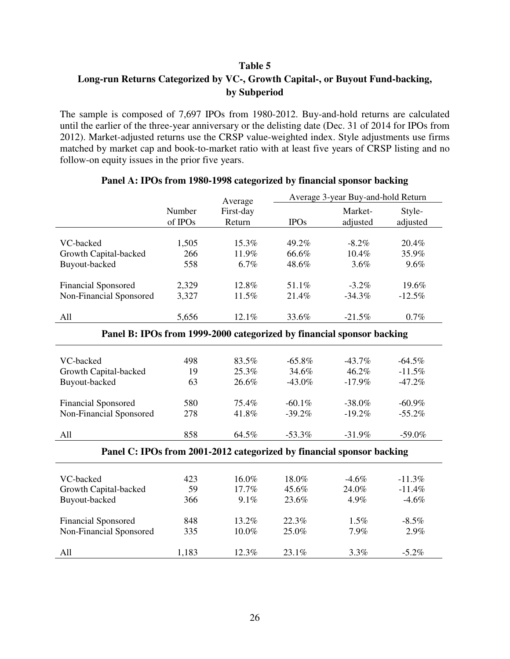## **Table 5 Long-run Returns Categorized by VC-, Growth Capital-, or Buyout Fund-backing, by Subperiod**

The sample is composed of 7,697 IPOs from 1980-2012. Buy-and-hold returns are calculated until the earlier of the three-year anniversary or the delisting date (Dec. 31 of 2014 for IPOs from 2012). Market-adjusted returns use the CRSP value-weighted index. Style adjustments use firms matched by market cap and book-to-market ratio with at least five years of CRSP listing and no follow-on equity issues in the prior five years.

|                                                                       |         | Average                                                               |             | Average 3-year Buy-and-hold Return |           |  |  |  |  |
|-----------------------------------------------------------------------|---------|-----------------------------------------------------------------------|-------------|------------------------------------|-----------|--|--|--|--|
|                                                                       | Number  | First-day                                                             |             | Market-                            | Style-    |  |  |  |  |
|                                                                       | of IPOs | Return                                                                | <b>IPOs</b> | adjusted                           | adjusted  |  |  |  |  |
|                                                                       |         |                                                                       |             |                                    |           |  |  |  |  |
| VC-backed                                                             | 1,505   | 15.3%                                                                 | 49.2%       | $-8.2\%$                           | 20.4%     |  |  |  |  |
| Growth Capital-backed                                                 | 266     | 11.9%                                                                 | 66.6%       | 10.4%                              | 35.9%     |  |  |  |  |
| Buyout-backed                                                         | 558     | 6.7%                                                                  | 48.6%       | 3.6%                               | 9.6%      |  |  |  |  |
|                                                                       |         |                                                                       |             |                                    |           |  |  |  |  |
| <b>Financial Sponsored</b>                                            | 2,329   | 12.8%                                                                 | 51.1%       | $-3.2\%$                           | 19.6%     |  |  |  |  |
| Non-Financial Sponsored                                               | 3,327   | 11.5%                                                                 | 21.4%       | $-34.3%$                           | $-12.5%$  |  |  |  |  |
|                                                                       |         |                                                                       |             |                                    |           |  |  |  |  |
| All                                                                   | 5,656   | 12.1%                                                                 | 33.6%       | $-21.5%$                           | 0.7%      |  |  |  |  |
| Panel B: IPOs from 1999-2000 categorized by financial sponsor backing |         |                                                                       |             |                                    |           |  |  |  |  |
|                                                                       |         |                                                                       |             |                                    |           |  |  |  |  |
| VC-backed                                                             | 498     | 83.5%                                                                 | $-65.8%$    | $-43.7%$                           | $-64.5%$  |  |  |  |  |
| Growth Capital-backed                                                 | 19      | 25.3%                                                                 | 34.6%       | 46.2%                              | $-11.5%$  |  |  |  |  |
| Buyout-backed                                                         | 63      | 26.6%                                                                 | $-43.0\%$   | $-17.9%$                           | $-47.2%$  |  |  |  |  |
|                                                                       |         |                                                                       |             |                                    |           |  |  |  |  |
| <b>Financial Sponsored</b>                                            | 580     | 75.4%                                                                 | $-60.1%$    | $-38.0%$                           | $-60.9\%$ |  |  |  |  |
| Non-Financial Sponsored                                               | 278     | 41.8%                                                                 | $-39.2%$    | $-19.2%$                           | $-55.2%$  |  |  |  |  |
| All                                                                   | 858     | 64.5%                                                                 | $-53.3%$    | $-31.9%$                           | $-59.0%$  |  |  |  |  |
|                                                                       |         |                                                                       |             |                                    |           |  |  |  |  |
|                                                                       |         | Panel C: IPOs from 2001-2012 categorized by financial sponsor backing |             |                                    |           |  |  |  |  |
| VC-backed                                                             | 423     | 16.0%                                                                 | 18.0%       | $-4.6%$                            | $-11.3%$  |  |  |  |  |
| Growth Capital-backed                                                 | 59      | 17.7%                                                                 | 45.6%       | 24.0%                              | $-11.4%$  |  |  |  |  |
| Buyout-backed                                                         | 366     | 9.1%                                                                  | 23.6%       | 4.9%                               | $-4.6%$   |  |  |  |  |
|                                                                       |         |                                                                       |             |                                    |           |  |  |  |  |
| <b>Financial Sponsored</b>                                            | 848     | 13.2%                                                                 | 22.3%       | 1.5%                               | $-8.5\%$  |  |  |  |  |
| Non-Financial Sponsored                                               | 335     | 10.0%                                                                 | 25.0%       | 7.9%                               | 2.9%      |  |  |  |  |
| All                                                                   | 1,183   | 12.3%                                                                 | 23.1%       | 3.3%                               | $-5.2%$   |  |  |  |  |
|                                                                       |         |                                                                       |             |                                    |           |  |  |  |  |

## **Panel A: IPOs from 1980-1998 categorized by financial sponsor backing**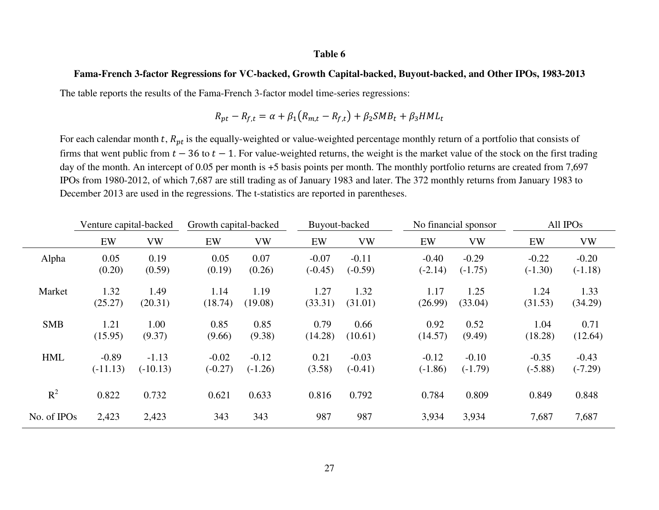#### **Fama-French 3-factor Regressions for VC-backed, Growth Capital-backed, Buyout-backed, and Other IPOs, 1983-2013**

The table reports the results of the Fama-French 3-factor model time-series regressions:

$$
R_{pt} - R_{f,t} = \alpha + \beta_1 (R_{m,t} - R_{f,t}) + \beta_2 SMB_t + \beta_3 HML_t
$$

For each calendar month t,  $R_{pt}$  is the equally-weighted or value-weighted percentage monthly return of a portfolio that consists of firms that went public from  $t - 36$  to  $t - 1$ . For value-weighted returns, the weight is the market value of the stock on the first trading day of the month. An intercept of 0.05 per month is +5 basis points per month. The monthly portfolio returns are created from 7,697 IPOs from 1980-2012, of which 7,687 are still trading as of January 1983 and later. The 372 monthly returns from January 1983 to December 2013 are used in the regressions. The t-statistics are reported in parentheses.

|             | Venture capital-backed |            |           | Growth capital-backed |           | Buyout-backed |           | No financial sponsor |           | All IPO <sub>s</sub> |  |
|-------------|------------------------|------------|-----------|-----------------------|-----------|---------------|-----------|----------------------|-----------|----------------------|--|
|             | EW                     | <b>VW</b>  | EW        | <b>VW</b>             | EW        | <b>VW</b>     | EW        | <b>VW</b>            | EW        | <b>VW</b>            |  |
| Alpha       | 0.05                   | 0.19       | 0.05      | 0.07                  | $-0.07$   | $-0.11$       | $-0.40$   | $-0.29$              | $-0.22$   | $-0.20$              |  |
|             | (0.20)                 | (0.59)     | (0.19)    | (0.26)                | $(-0.45)$ | $(-0.59)$     | $(-2.14)$ | $(-1.75)$            | $(-1.30)$ | $(-1.18)$            |  |
| Market      | 1.32                   | 1.49       | 1.14      | 1.19                  | 1.27      | 1.32          | 1.17      | 1.25                 | 1.24      | 1.33                 |  |
|             | (25.27)                | (20.31)    | (18.74)   | (19.08)               | (33.31)   | (31.01)       | (26.99)   | (33.04)              | (31.53)   | (34.29)              |  |
| <b>SMB</b>  | 1.21                   | 1.00       | 0.85      | 0.85                  | 0.79      | 0.66          | 0.92      | 0.52                 | 1.04      | 0.71                 |  |
|             | (15.95)                | (9.37)     | (9.66)    | (9.38)                | (14.28)   | (10.61)       | (14.57)   | (9.49)               | (18.28)   | (12.64)              |  |
| <b>HML</b>  | $-0.89$                | $-1.13$    | $-0.02$   | $-0.12$               | 0.21      | $-0.03$       | $-0.12$   | $-0.10$              | $-0.35$   | $-0.43$              |  |
|             | $(-11.13)$             | $(-10.13)$ | $(-0.27)$ | $(-1.26)$             | (3.58)    | $(-0.41)$     | $(-1.86)$ | $(-1.79)$            | $(-5.88)$ | $(-7.29)$            |  |
| $R^2$       | 0.822                  | 0.732      | 0.621     | 0.633                 | 0.816     | 0.792         | 0.784     | 0.809                | 0.849     | 0.848                |  |
|             |                        |            |           |                       |           |               |           |                      |           |                      |  |
| No. of IPOs | 2,423                  | 2,423      | 343       | 343                   | 987       | 987           | 3,934     | 3,934                | 7,687     | 7,687                |  |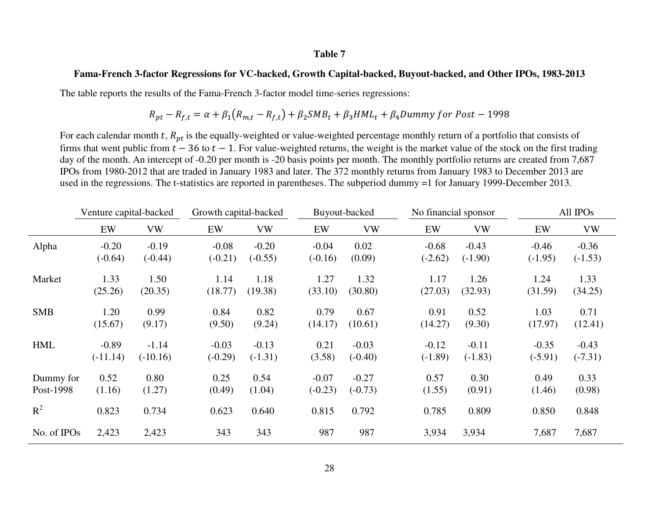#### **Fama-French 3-factor Regressions for VC-backed, Growth Capital-backed, Buyout-backed, and Other IPOs, 1983-2013**

The table reports the results of the Fama-French 3-factor model time-series regressions:

$$
R_{pt} - R_{f,t} = \alpha + \beta_1 \left( R_{m,t} - R_{f,t} \right) + \beta_2 \text{SMB}_t + \beta_3 \text{HML}_t + \beta_4 \text{Dummy for Post} - 1998
$$

For each calendar month t,  $R_{pt}$  is the equally-weighted or value-weighted percentage monthly return of a portfolio that consists of firms that went public from  $t - 36$  to  $t - 1$ . For value-weighted returns, the weight is the market value of the stock on the first trading day of the month. An intercept of -0.20 per month is -20 basis points per month. The monthly portfolio returns are created from 7,687 IPOs from 1980-2012 that are traded in January 1983 and later. The 372 monthly returns from January 1983 to December 2013 are used in the regressions. The t-statistics are reported in parentheses. The subperiod dummy =1 for January 1999-December 2013.

|             | Venture capital-backed |            | Growth capital-backed |           |           | Buyout-backed |           | No financial sponsor |           | All IPOs  |  |
|-------------|------------------------|------------|-----------------------|-----------|-----------|---------------|-----------|----------------------|-----------|-----------|--|
|             | EW                     | <b>VW</b>  | EW                    | <b>VW</b> | EW        | <b>VW</b>     | EW        | <b>VW</b>            | EW        | <b>VW</b> |  |
| Alpha       | $-0.20$                | $-0.19$    | $-0.08$               | $-0.20$   | $-0.04$   | 0.02          | $-0.68$   | $-0.43$              | $-0.46$   | $-0.36$   |  |
|             | $(-0.64)$              | $(-0.44)$  | $(-0.21)$             | $(-0.55)$ | $(-0.16)$ | (0.09)        | $(-2.62)$ | $(-1.90)$            | $(-1.95)$ | $(-1.53)$ |  |
| Market      | 1.33                   | 1.50       | 1.14                  | 1.18      | 1.27      | 1.32          | 1.17      | 1.26                 | 1.24      | 1.33      |  |
|             | (25.26)                | (20.35)    | (18.77)               | (19.38)   | (33.10)   | (30.80)       | (27.03)   | (32.93)              | (31.59)   | (34.25)   |  |
| <b>SMB</b>  | 1.20                   | 0.99       | 0.84                  | 0.82      | 0.79      | 0.67          | 0.91      | 0.52                 | 1.03      | 0.71      |  |
|             | (15.67)                | (9.17)     | (9.50)                | (9.24)    | (14.17)   | (10.61)       | (14.27)   | (9.30)               | (17.97)   | (12.41)   |  |
| <b>HML</b>  | $-0.89$                | $-1.14$    | $-0.03$               | $-0.13$   | 0.21      | $-0.03$       | $-0.12$   | $-0.11$              | $-0.35$   | $-0.43$   |  |
|             | $(-11.14)$             | $(-10.16)$ | $(-0.29)$             | $(-1.31)$ | (3.58)    | $(-0.40)$     | $(-1.89)$ | $(-1.83)$            | $(-5.91)$ | $(-7.31)$ |  |
| Dummy for   | 0.52                   | 0.80       | 0.25                  | 0.54      | $-0.07$   | $-0.27$       | 0.57      | 0.30                 | 0.49      | 0.33      |  |
| Post-1998   | (1.16)                 | (1.27)     | (0.49)                | (1.04)    | $(-0.23)$ | $(-0.73)$     | (1.55)    | (0.91)               | (1.46)    | (0.98)    |  |
| $R^2$       | 0.823                  | 0.734      | 0.623                 | 0.640     | 0.815     | 0.792         | 0.785     | 0.809                | 0.850     | 0.848     |  |
| No. of IPOs | 2,423                  | 2,423      | 343                   | 343       | 987       | 987           | 3,934     | 3,934                | 7,687     | 7,687     |  |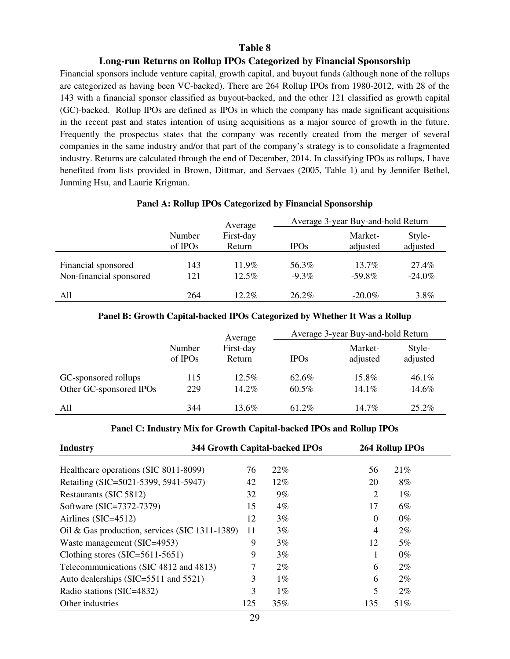#### **Long-run Returns on Rollup IPOs Categorized by Financial Sponsorship**

Financial sponsors include venture capital, growth capital, and buyout funds (although none of the rollups are categorized as having been VC-backed). There are 264 Rollup IPOs from 1980-2012, with 28 of the 143 with a financial sponsor classified as buyout-backed, and the other 121 classified as growth capital (GC)-backed. Rollup IPOs are defined as IPOs in which the company has made significant acquisitions in the recent past and states intention of using acquisitions as a major source of growth in the future. Frequently the prospectus states that the company was recently created from the merger of several companies in the same industry and/or that part of the company's strategy is to consolidate a fragmented industry. Returns are calculated through the end of December, 2014. In classifying IPOs as rollups, I have benefited from lists provided in Brown, Dittmar, and Servaes (2005, Table 1) and by Jennifer Bethel, Junming Hsu, and Laurie Krigman.

## **Panel A: Rollup IPOs Categorized by Financial Sponsorship**

|                                                |                               | Average              | Average 3-year Buy-and-hold Return |                     |                    |  |
|------------------------------------------------|-------------------------------|----------------------|------------------------------------|---------------------|--------------------|--|
|                                                | Number<br>of IPO <sub>s</sub> | First-day<br>Return  | <b>IPOs</b>                        | Market-<br>adjusted | Style-<br>adjusted |  |
| Financial sponsored<br>Non-financial sponsored | 143<br>121                    | $11.9\%$<br>$12.5\%$ | 56.3%<br>$-9.3\%$                  | 13.7%<br>$-59.8\%$  | 27.4%<br>$-24.0\%$ |  |
| All                                            | 264                           | $12.2\%$             | $26.2\%$                           | $-20.0\%$           | $3.8\%$            |  |

### **Panel B: Growth Capital-backed IPOs Categorized by Whether It Was a Rollup**

|                         |                   | Average             | Average 3-year Buy-and-hold Return |                     |                    |  |
|-------------------------|-------------------|---------------------|------------------------------------|---------------------|--------------------|--|
|                         | Number<br>of IPOs | First-day<br>Return | <b>IPOs</b>                        | Market-<br>adjusted | Style-<br>adjusted |  |
| GC-sponsored rollups    | 115               | $12.5\%$            | 62.6%                              | 15.8%               | $46.1\%$           |  |
| Other GC-sponsored IPOs | 229               | 14.2%               | $60.5\%$                           | $14.1\%$            | 14.6%              |  |
| All                     | 344               | $13.6\%$            | $61.2\%$                           | $14.7\%$            | $25.2\%$           |  |

#### **Panel C: Industry Mix for Growth Capital-backed IPOs and Rollup IPOs**

| <b>Industry</b>                                | 344 Growth Capital-backed IPOs |        |          | 264 Rollup IPOs |  |  |
|------------------------------------------------|--------------------------------|--------|----------|-----------------|--|--|
| Healthcare operations (SIC 8011-8099)          | 76                             | 22%    | 56       | 21%             |  |  |
| Retailing (SIC=5021-5399, 5941-5947)           | 42                             | $12\%$ | 20       | 8%              |  |  |
| Restaurants (SIC 5812)                         | 32                             | 9%     | 2        | $1\%$           |  |  |
| Software (SIC=7372-7379)                       | 15                             | $4\%$  | 17       | $6\%$           |  |  |
| Airlines $(SIC=4512)$                          | 12                             | $3\%$  | $\Omega$ | $0\%$           |  |  |
| Oil & Gas production, services (SIC 1311-1389) | 11                             | 3%     | 4        | $2\%$           |  |  |
| Waste management (SIC=4953)                    | 9                              | 3%     | 12       | 5%              |  |  |
| Clothing stores $(SIC=5611-5651)$              | 9                              | 3%     |          | $0\%$           |  |  |
| Telecommunications (SIC 4812 and 4813)         |                                | $2\%$  | 6        | $2\%$           |  |  |
| Auto dealerships (SIC=5511 and 5521)           | 3                              | $1\%$  | 6        | $2\%$           |  |  |
| Radio stations (SIC=4832)                      | 3                              | $1\%$  | 5        | $2\%$           |  |  |
| Other industries                               | 125                            | 35%    | 135      | 51%             |  |  |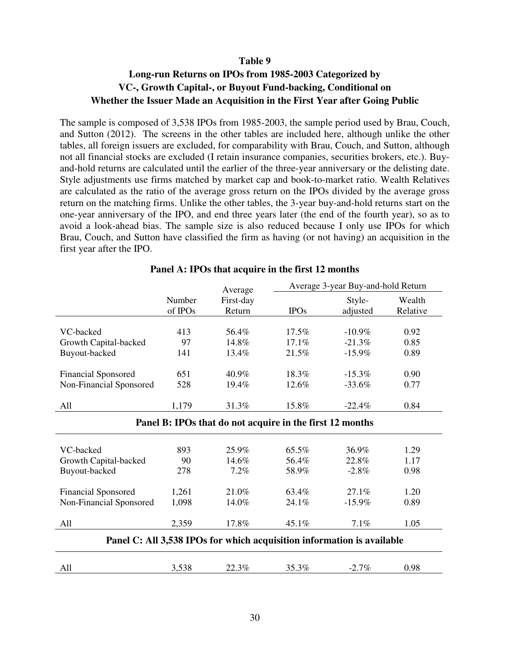## **Long-run Returns on IPOs from 1985-2003 Categorized by VC-, Growth Capital-, or Buyout Fund-backing, Conditional on Whether the Issuer Made an Acquisition in the First Year after Going Public**

The sample is composed of 3,538 IPOs from 1985-2003, the sample period used by Brau, Couch, and Sutton (2012). The screens in the other tables are included here, although unlike the other tables, all foreign issuers are excluded, for comparability with Brau, Couch, and Sutton, although not all financial stocks are excluded (I retain insurance companies, securities brokers, etc.). Buyand-hold returns are calculated until the earlier of the three-year anniversary or the delisting date. Style adjustments use firms matched by market cap and book-to-market ratio. Wealth Relatives are calculated as the ratio of the average gross return on the IPOs divided by the average gross return on the matching firms. Unlike the other tables, the 3-year buy-and-hold returns start on the one-year anniversary of the IPO, and end three years later (the end of the fourth year), so as to avoid a look-ahead bias. The sample size is also reduced because I only use IPOs for which Brau, Couch, and Sutton have classified the firm as having (or not having) an acquisition in the first year after the IPO.

|                                                                        |         | Average   | Average 3-year Buy-and-hold Return |           |          |  |  |  |  |
|------------------------------------------------------------------------|---------|-----------|------------------------------------|-----------|----------|--|--|--|--|
|                                                                        | Number  | First-day |                                    | Style-    | Wealth   |  |  |  |  |
|                                                                        | of IPOs | Return    | <b>IPOs</b>                        | adjusted  | Relative |  |  |  |  |
|                                                                        |         |           |                                    |           |          |  |  |  |  |
| VC-backed                                                              | 413     | 56.4%     | $17.5\%$                           | $-10.9\%$ | 0.92     |  |  |  |  |
| Growth Capital-backed                                                  | 97      | 14.8%     | 17.1%                              | $-21.3%$  | 0.85     |  |  |  |  |
| Buyout-backed                                                          | 141     | 13.4%     | 21.5%                              | $-15.9%$  | 0.89     |  |  |  |  |
| <b>Financial Sponsored</b>                                             | 651     | 40.9%     | 18.3%                              | $-15.3\%$ | 0.90     |  |  |  |  |
| Non-Financial Sponsored                                                | 528     | 19.4%     | 12.6%                              | $-33.6\%$ | 0.77     |  |  |  |  |
| All                                                                    | 1,179   | 31.3%     | 15.8%                              | $-22.4%$  | 0.84     |  |  |  |  |
| Panel B: IPOs that do not acquire in the first 12 months               |         |           |                                    |           |          |  |  |  |  |
| VC-backed                                                              | 893     | 25.9%     | 65.5%                              | 36.9%     | 1.29     |  |  |  |  |
| Growth Capital-backed                                                  | 90      | 14.6%     | 56.4%                              | 22.8%     | 1.17     |  |  |  |  |
|                                                                        |         |           |                                    |           |          |  |  |  |  |
| Buyout-backed                                                          | 278     | 7.2%      | 58.9%                              | $-2.8\%$  | 0.98     |  |  |  |  |
| <b>Financial Sponsored</b>                                             | 1,261   | 21.0%     | 63.4%                              | 27.1%     | 1.20     |  |  |  |  |
| Non-Financial Sponsored                                                | 1,098   | 14.0%     | 24.1%                              | $-15.9\%$ | 0.89     |  |  |  |  |
| All                                                                    | 2,359   | 17.8%     | 45.1%                              | 7.1%      | 1.05     |  |  |  |  |
| Panel C: All 3,538 IPOs for which acquisition information is available |         |           |                                    |           |          |  |  |  |  |

## **Panel A: IPOs that acquire in the first 12 months**

|                               | $\cdot$ $\sigma$ |                | $\overline{\phantom{a}}$        | $\alpha$ |
|-------------------------------|------------------|----------------|---------------------------------|----------|
| $\overline{1}$ $\overline{1}$ |                  | $\cdot$ %<br>. | $\mathcal{L}_{\ell}$<br>--<br>. | ີ        |
|                               |                  |                |                                 |          |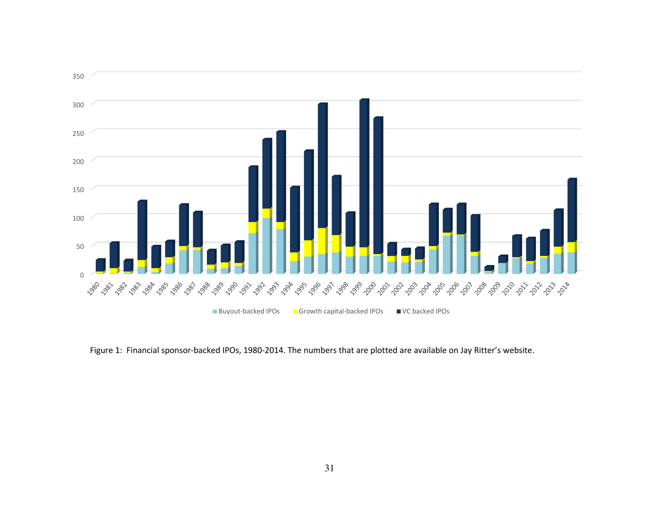

Figure 1: Financial sponsor-backed IPOs, 1980-2014. The numbers that are plotted are available on Jay Ritter's website.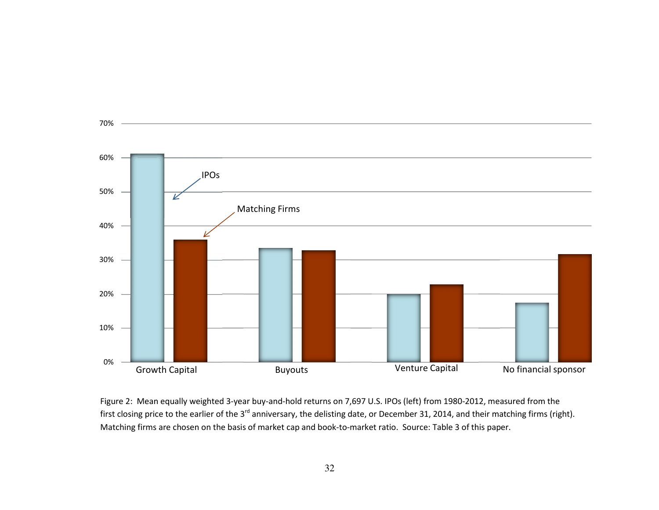

Figure 2: Mean equally weighted 3-year buy-and-hold returns on 7,697 U.S. IPOs (left) from 1980-2012, measured from the first closing price to the earlier of the 3<sup>rd</sup> anniversary, the delisting date, or December 31, 2014, and their matching firms (right). Matching firms are chosen on the basis of market cap and book-to-market ratio. Source: Table 3 of this paper.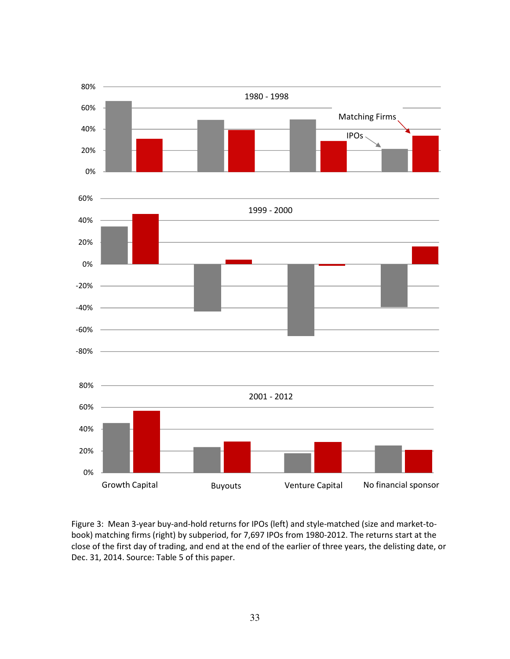

Figure 3: Mean 3-year buy-and-hold returns for IPOs (left) and style-matched (size and market-tobook) matching firms (right) by subperiod, for 7,697 IPOs from 1980-2012. The returns start at the close of the first day of trading, and end at the end of the earlier of three years, the delisting date, or Dec. 31, 2014. Source: Table 5 of this paper.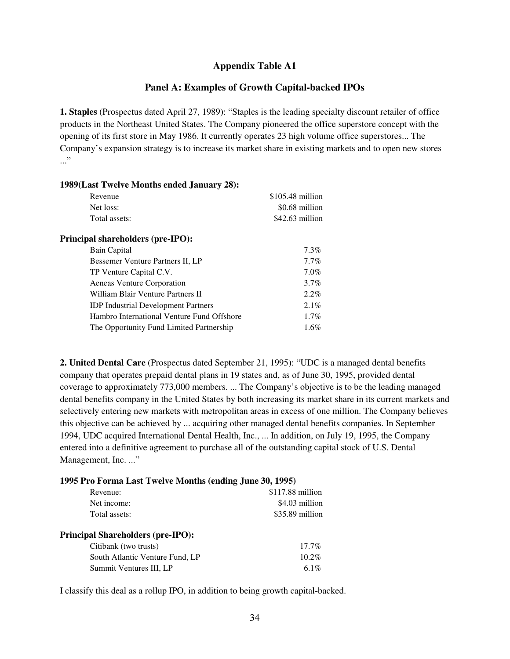## **Appendix Table A1**

## **Panel A: Examples of Growth Capital-backed IPOs**

**1. Staples** (Prospectus dated April 27, 1989): "Staples is the leading specialty discount retailer of office products in the Northeast United States. The Company pioneered the office superstore concept with the opening of its first store in May 1986. It currently operates 23 high volume office superstores... The Company's expansion strategy is to increase its market share in existing markets and to open new stores ..."

| 1989(Last Twelve Months ended January 28): |                   |
|--------------------------------------------|-------------------|
| Revenue                                    | $$105.48$ million |
| Net loss:                                  | \$0.68 million    |
| Total assets:                              | $$42.63$ million  |
| <b>Principal shareholders (pre-IPO):</b>   |                   |
| Bain Capital                               | $7.3\%$           |
| Bessemer Venture Partners II, LP           | $7.7\%$           |
| TP Venture Capital C.V.                    | $7.0\%$           |
| Aeneas Venture Corporation                 | $3.7\%$           |
| William Blair Venture Partners II          | $2.2\%$           |
| <b>IDP</b> Industrial Development Partners | $2.1\%$           |
| Hambro International Venture Fund Offshore | $1.7\%$           |
| The Opportunity Fund Limited Partnership   | $1.6\%$           |

**2. United Dental Care** (Prospectus dated September 21, 1995): "UDC is a managed dental benefits company that operates prepaid dental plans in 19 states and, as of June 30, 1995, provided dental coverage to approximately 773,000 members. ... The Company's objective is to be the leading managed dental benefits company in the United States by both increasing its market share in its current markets and selectively entering new markets with metropolitan areas in excess of one million. The Company believes this objective can be achieved by ... acquiring other managed dental benefits companies. In September 1994, UDC acquired International Dental Health, Inc., ... In addition, on July 19, 1995, the Company entered into a definitive agreement to purchase all of the outstanding capital stock of U.S. Dental Management, Inc. ..."

#### **1995 Pro Forma Last Twelve Months (ending June 30, 1995)**

| Revenue:                                 | \$117.88 million |
|------------------------------------------|------------------|
| Net income:                              | \$4.03 million   |
| Total assets:                            | \$35.89 million  |
| <b>Principal Shareholders (pre-IPO):</b> |                  |
| Citibank (two trusts)                    | $17.7\%$         |
| South Atlantic Venture Fund, LP          | $10.2\%$         |
| Summit Ventures III, LP                  | 6.1%             |

I classify this deal as a rollup IPO, in addition to being growth capital-backed.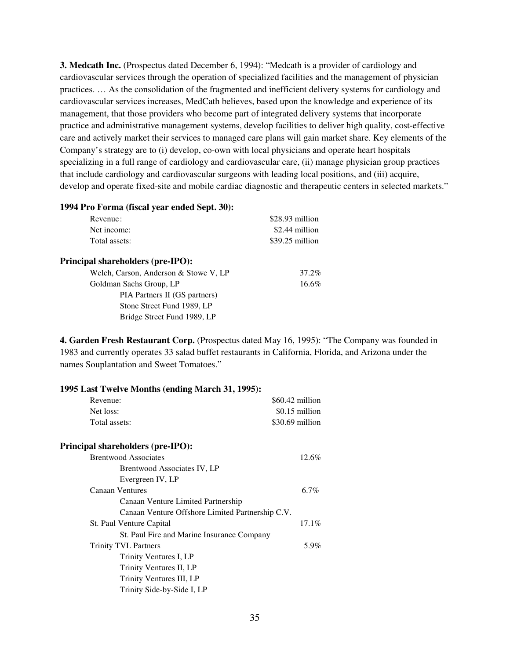**3. Medcath Inc.** (Prospectus dated December 6, 1994): "Medcath is a provider of cardiology and cardiovascular services through the operation of specialized facilities and the management of physician practices. … As the consolidation of the fragmented and inefficient delivery systems for cardiology and cardiovascular services increases, MedCath believes, based upon the knowledge and experience of its management, that those providers who become part of integrated delivery systems that incorporate practice and administrative management systems, develop facilities to deliver high quality, cost-effective care and actively market their services to managed care plans will gain market share. Key elements of the Company's strategy are to (i) develop, co-own with local physicians and operate heart hospitals specializing in a full range of cardiology and cardiovascular care, (ii) manage physician group practices that include cardiology and cardiovascular surgeons with leading local positions, and (iii) acquire, develop and operate fixed-site and mobile cardiac diagnostic and therapeutic centers in selected markets."

| 1994 Pro Forma (fiscal year ended Sept. 30): |                 |  |
|----------------------------------------------|-----------------|--|
| Revenue:                                     | \$28.93 million |  |
| Net income:                                  | \$2.44 million  |  |
| Total assets:                                | \$39.25 million |  |
| <b>Principal shareholders (pre-IPO):</b>     |                 |  |
| Welch, Carson, Anderson & Stowe V, LP        | 37.2%           |  |
| Goldman Sachs Group, LP                      | 16.6%           |  |
| PIA Partners II (GS partners)                |                 |  |
| Stone Street Fund 1989, LP                   |                 |  |
| Bridge Street Fund 1989, LP                  |                 |  |

**4. Garden Fresh Restaurant Corp.** (Prospectus dated May 16, 1995): "The Company was founded in 1983 and currently operates 33 salad buffet restaurants in California, Florida, and Arizona under the names Souplantation and Sweet Tomatoes."

| 1995 Last Twelve Months (ending March 31, 1995): |                  |  |
|--------------------------------------------------|------------------|--|
| Revenue:                                         | \$60.42 million  |  |
| Net loss:                                        | \$0.15 million   |  |
| Total assets:                                    | $$30.69$ million |  |
| <b>Principal shareholders (pre-IPO):</b>         |                  |  |
| <b>Brentwood Associates</b>                      | 12.6%            |  |
| Brentwood Associates IV, LP                      |                  |  |
| Evergreen IV, LP                                 |                  |  |
| <b>Canaan Ventures</b>                           | 6.7%             |  |
| Canaan Venture Limited Partnership               |                  |  |
| Canaan Venture Offshore Limited Partnership C.V. |                  |  |
| St. Paul Venture Capital                         | $17.1\%$         |  |
| St. Paul Fire and Marine Insurance Company       |                  |  |
| <b>Trinity TVL Partners</b>                      | 5.9%             |  |
| Trinity Ventures I, LP                           |                  |  |
| Trinity Ventures II, LP                          |                  |  |
| Trinity Ventures III, LP                         |                  |  |
| Trinity Side-by-Side I, LP                       |                  |  |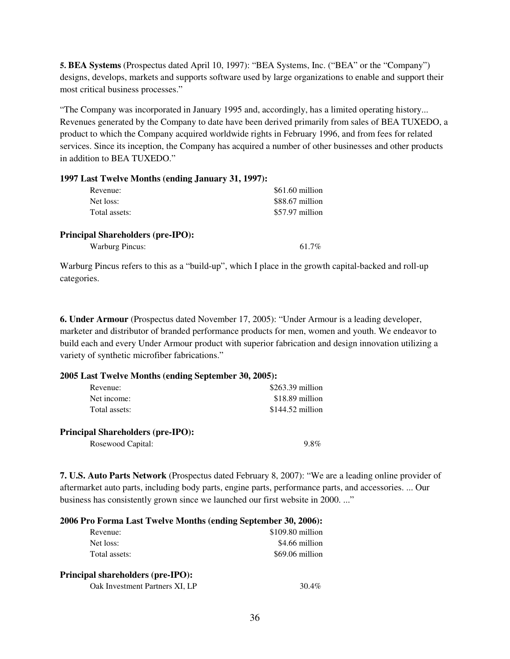**5. BEA Systems** (Prospectus dated April 10, 1997): "BEA Systems, Inc. ("BEA" or the "Company") designs, develops, markets and supports software used by large organizations to enable and support their most critical business processes."

"The Company was incorporated in January 1995 and, accordingly, has a limited operating history... Revenues generated by the Company to date have been derived primarily from sales of BEA TUXEDO, a product to which the Company acquired worldwide rights in February 1996, and from fees for related services. Since its inception, the Company has acquired a number of other businesses and other products in addition to BEA TUXEDO."

| 1997 Last Twelve Months (ending January 31, 1997): |                 |
|----------------------------------------------------|-----------------|
| Revenue:                                           | \$61.60 million |
| Net loss:                                          | \$88.67 million |
| Total assets:                                      | \$57.97 million |
| <b>Principal Shareholders (pre-IPO):</b>           |                 |
| <b>Warburg Pincus:</b>                             | 61.7%           |

Warburg Pincus refers to this as a "build-up", which I place in the growth capital-backed and roll-up categories.

**6. Under Armour** (Prospectus dated November 17, 2005): "Under Armour is a leading developer, marketer and distributor of branded performance products for men, women and youth. We endeavor to build each and every Under Armour product with superior fabrication and design innovation utilizing a variety of synthetic microfiber fabrications."

#### **2005 Last Twelve Months (ending September 30, 2005):**

| $$263.39$ million |
|-------------------|
| \$18.89 million   |
| $$144.52$ million |
|                   |
|                   |
| $9.8\%$           |
|                   |

**7. U.S. Auto Parts Network** (Prospectus dated February 8, 2007): "We are a leading online provider of aftermarket auto parts, including body parts, engine parts, performance parts, and accessories. ... Our business has consistently grown since we launched our first website in 2000. ..."

| 2006 Pro Forma Last Twelve Months (ending September 30, 2006): |                   |  |
|----------------------------------------------------------------|-------------------|--|
| Revenue:                                                       | $$109.80$ million |  |
| Net loss:                                                      | \$4.66 million    |  |
| Total assets:                                                  | \$69.06 million   |  |
| <b>Principal shareholders (pre-IPO):</b>                       |                   |  |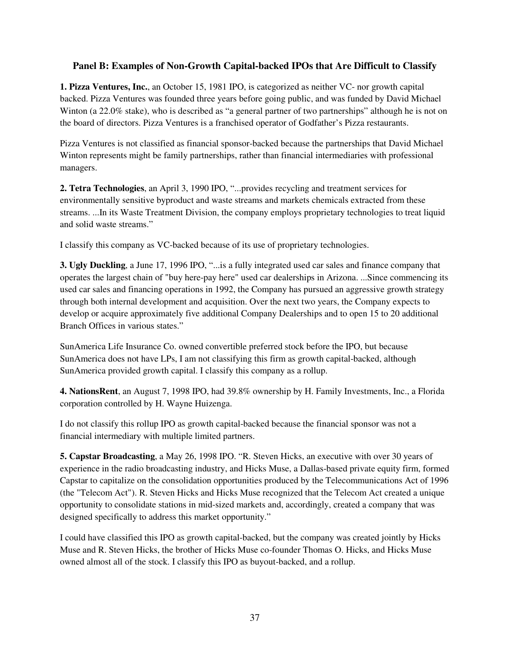## **Panel B: Examples of Non-Growth Capital-backed IPOs that Are Difficult to Classify**

**1. Pizza Ventures, Inc.**, an October 15, 1981 IPO, is categorized as neither VC- nor growth capital backed. Pizza Ventures was founded three years before going public, and was funded by David Michael Winton (a 22.0% stake), who is described as "a general partner of two partnerships" although he is not on the board of directors. Pizza Ventures is a franchised operator of Godfather's Pizza restaurants.

Pizza Ventures is not classified as financial sponsor-backed because the partnerships that David Michael Winton represents might be family partnerships, rather than financial intermediaries with professional managers.

**2. Tetra Technologies**, an April 3, 1990 IPO, "...provides recycling and treatment services for environmentally sensitive byproduct and waste streams and markets chemicals extracted from these streams. ...In its Waste Treatment Division, the company employs proprietary technologies to treat liquid and solid waste streams."

I classify this company as VC-backed because of its use of proprietary technologies.

**3. Ugly Duckling**, a June 17, 1996 IPO, "...is a fully integrated used car sales and finance company that operates the largest chain of "buy here-pay here" used car dealerships in Arizona. ...Since commencing its used car sales and financing operations in 1992, the Company has pursued an aggressive growth strategy through both internal development and acquisition. Over the next two years, the Company expects to develop or acquire approximately five additional Company Dealerships and to open 15 to 20 additional Branch Offices in various states."

SunAmerica Life Insurance Co. owned convertible preferred stock before the IPO, but because SunAmerica does not have LPs, I am not classifying this firm as growth capital-backed, although SunAmerica provided growth capital. I classify this company as a rollup.

**4. NationsRent**, an August 7, 1998 IPO, had 39.8% ownership by H. Family Investments, Inc., a Florida corporation controlled by H. Wayne Huizenga.

I do not classify this rollup IPO as growth capital-backed because the financial sponsor was not a financial intermediary with multiple limited partners.

**5. Capstar Broadcasting**, a May 26, 1998 IPO. "R. Steven Hicks, an executive with over 30 years of experience in the radio broadcasting industry, and Hicks Muse, a Dallas-based private equity firm, formed Capstar to capitalize on the consolidation opportunities produced by the Telecommunications Act of 1996 (the "Telecom Act"). R. Steven Hicks and Hicks Muse recognized that the Telecom Act created a unique opportunity to consolidate stations in mid-sized markets and, accordingly, created a company that was designed specifically to address this market opportunity."

I could have classified this IPO as growth capital-backed, but the company was created jointly by Hicks Muse and R. Steven Hicks, the brother of Hicks Muse co-founder Thomas O. Hicks, and Hicks Muse owned almost all of the stock. I classify this IPO as buyout-backed, and a rollup.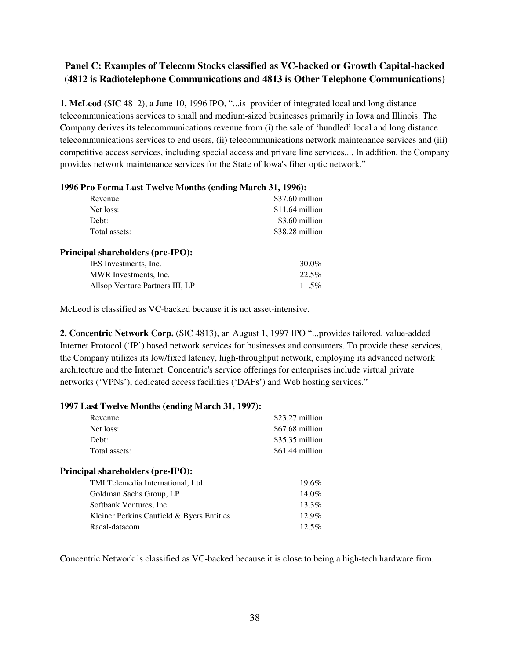## **Panel C: Examples of Telecom Stocks classified as VC-backed or Growth Capital-backed (4812 is Radiotelephone Communications and 4813 is Other Telephone Communications)**

**1. McLeod** (SIC 4812), a June 10, 1996 IPO, "...is provider of integrated local and long distance telecommunications services to small and medium-sized businesses primarily in Iowa and Illinois. The Company derives its telecommunications revenue from (i) the sale of 'bundled' local and long distance telecommunications services to end users, (ii) telecommunications network maintenance services and (iii) competitive access services, including special access and private line services.... In addition, the Company provides network maintenance services for the State of Iowa's fiber optic network."

| 1770 1 TO 1 01100 LAST 1 WEITE MIORINS (CROMIC MAILER 21, 1770). |                 |
|------------------------------------------------------------------|-----------------|
| Revenue:                                                         | \$37.60 million |
| Net loss:                                                        | \$11.64 million |
| Debt:                                                            | \$3.60 million  |
| Total assets:                                                    | \$38.28 million |
| <b>Principal shareholders (pre-IPO):</b>                         |                 |
| IES Investments, Inc.                                            | 30.0%           |
| MWR Investments, Inc.                                            | 22.5%           |
| Allsop Venture Partners III, LP                                  | 11.5%           |
|                                                                  |                 |

#### **1996 Pro Forma Last Twelve Months (ending March 31, 1996):**

McLeod is classified as VC-backed because it is not asset-intensive.

**2. Concentric Network Corp.** (SIC 4813), an August 1, 1997 IPO "...provides tailored, value-added Internet Protocol ('IP') based network services for businesses and consumers. To provide these services, the Company utilizes its low/fixed latency, high-throughput network, employing its advanced network architecture and the Internet. Concentric's service offerings for enterprises include virtual private networks ('VPNs'), dedicated access facilities ('DAFs') and Web hosting services."

## **1997 Last Twelve Months (ending March 31, 1997):**  Revenue: \$23.27 million Net loss: \$67.68 million Debt: \$35.35 million Total assets: \$61.44 million **Principal shareholders (pre-IPO):**  TMI Telemedia International, Ltd. 19.6% Goldman Sachs Group, LP 14.0% Softbank Ventures, Inc 13.3% Kleiner Perkins Caufield & Byers Entities 12.9% Racal-datacom 12.5%

Concentric Network is classified as VC-backed because it is close to being a high-tech hardware firm.